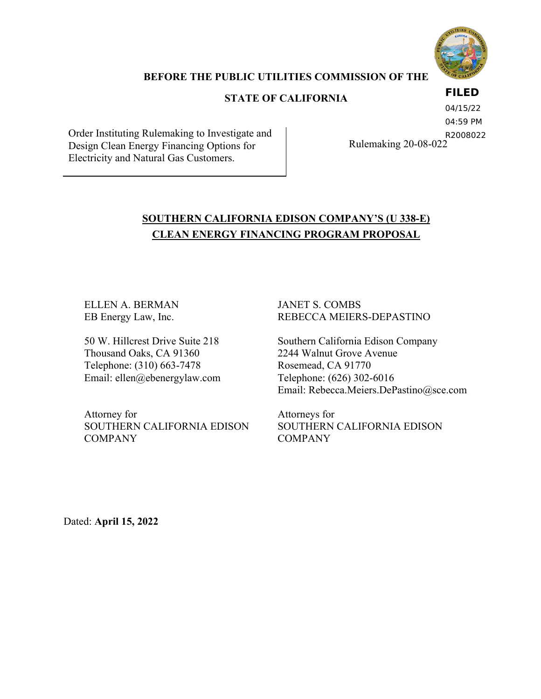

### **BEFORE THE PUBLIC UTILITIES COMMISSION OF THE**

## **STATE OF CALIFORNIA**

### **FILED**

Order Instituting Rulemaking to Investigate and Design Clean Energy Financing Options for Electricity and Natural Gas Customers.

04/15/22

04:59 PM

Rulemaking 20-08-022 R2008022

## **SOUTHERN CALIFORNIA EDISON COMPANY'S (U 338-E) CLEAN ENERGY FINANCING PROGRAM PROPOSAL**

ELLEN A. BERMAN EB Energy Law, Inc.

50 W. Hillcrest Drive Suite 218 Thousand Oaks, CA 91360 Telephone: (310) 663-7478 Email: ellen@ebenergylaw.com

Attorney for SOUTHERN CALIFORNIA EDISON COMPANY

JANET S. COMBS REBECCA MEIERS-DEPASTINO

Southern California Edison Company 2244 Walnut Grove Avenue Rosemead, CA 91770 Telephone: (626) 302-6016 Email: Rebecca.Meiers.DePastino@sce.com

Attorneys for SOUTHERN CALIFORNIA EDISON **COMPANY** 

Dated: **April 15, 2022**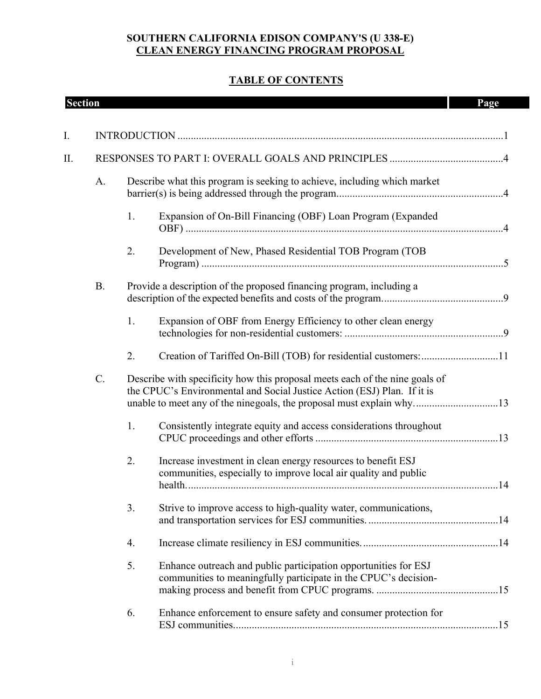## **TABLE OF CONTENTS**

| <b>Section</b> |           |    |                                                                                                                                                                                                                                | Page |
|----------------|-----------|----|--------------------------------------------------------------------------------------------------------------------------------------------------------------------------------------------------------------------------------|------|
| I.             |           |    |                                                                                                                                                                                                                                |      |
| П.             |           |    |                                                                                                                                                                                                                                |      |
|                | A.        |    | Describe what this program is seeking to achieve, including which market                                                                                                                                                       |      |
|                |           | 1. | Expansion of On-Bill Financing (OBF) Loan Program (Expanded                                                                                                                                                                    |      |
|                |           | 2. | Development of New, Phased Residential TOB Program (TOB                                                                                                                                                                        |      |
|                | <b>B.</b> |    | Provide a description of the proposed financing program, including a                                                                                                                                                           |      |
|                |           | 1. | Expansion of OBF from Energy Efficiency to other clean energy                                                                                                                                                                  |      |
|                |           | 2. | Creation of Tariffed On-Bill (TOB) for residential customers: 11                                                                                                                                                               |      |
|                | C.        |    | Describe with specificity how this proposal meets each of the nine goals of<br>the CPUC's Environmental and Social Justice Action (ESJ) Plan. If it is<br>unable to meet any of the ninegoals, the proposal must explain why13 |      |
|                |           | 1. | Consistently integrate equity and access considerations throughout                                                                                                                                                             |      |
|                |           | 2. | Increase investment in clean energy resources to benefit ESJ<br>communities, especially to improve local air quality and public                                                                                                |      |
|                |           | 3. | Strive to improve access to high-quality water, communications,                                                                                                                                                                |      |
|                |           | 4. |                                                                                                                                                                                                                                |      |
|                |           | 5. | Enhance outreach and public participation opportunities for ESJ<br>communities to meaningfully participate in the CPUC's decision-                                                                                             |      |
|                |           | 6. | Enhance enforcement to ensure safety and consumer protection for                                                                                                                                                               |      |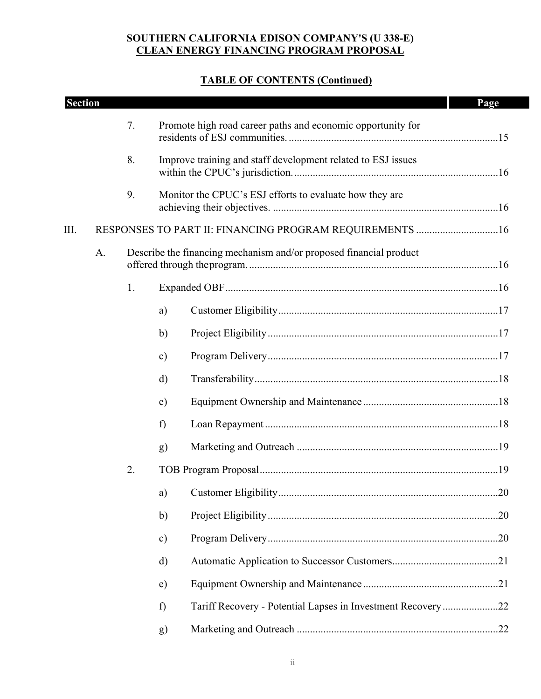| <b>Section</b> |    |    |                                                                    | Page |
|----------------|----|----|--------------------------------------------------------------------|------|
|                |    | 7. | Promote high road career paths and economic opportunity for        |      |
|                |    | 8. | Improve training and staff development related to ESJ issues       |      |
|                |    | 9. | Monitor the CPUC's ESJ efforts to evaluate how they are            |      |
| III.           |    |    | RESPONSES TO PART II: FINANCING PROGRAM REQUIREMENTS  16           |      |
|                | A. |    | Describe the financing mechanism and/or proposed financial product |      |
|                |    | 1. |                                                                    |      |
|                |    |    | a)                                                                 |      |
|                |    |    | $\mathbf{b}$                                                       |      |
|                |    |    | $\mathbf{c})$                                                      |      |
|                |    |    | d)                                                                 |      |
|                |    |    | $\epsilon$ )                                                       |      |
|                |    |    | f)                                                                 |      |
|                |    |    | g)                                                                 |      |
|                |    | 2. |                                                                    |      |
|                |    |    | a)                                                                 |      |
|                |    |    | $\mathbf{b}$                                                       |      |
|                |    |    | $\mathbf{c})$                                                      |      |
|                |    |    | d)                                                                 |      |
|                |    |    | e)                                                                 |      |
|                |    |    | Tariff Recovery - Potential Lapses in Investment Recovery22<br>f)  |      |
|                |    |    | g)                                                                 |      |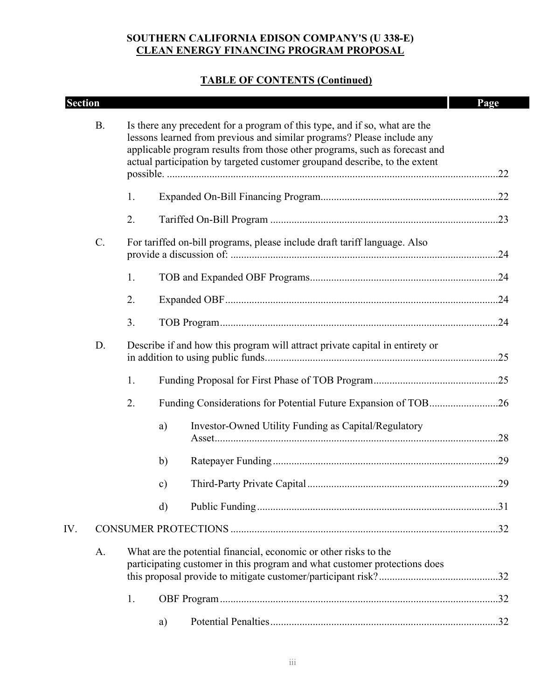| <b>Section</b> |           |    |                                                                                                                                                                                                                                                                                                                  | Page |
|----------------|-----------|----|------------------------------------------------------------------------------------------------------------------------------------------------------------------------------------------------------------------------------------------------------------------------------------------------------------------|------|
|                | <b>B.</b> |    | Is there any precedent for a program of this type, and if so, what are the<br>lessons learned from previous and similar programs? Please include any<br>applicable program results from those other programs, such as forecast and<br>actual participation by targeted customer groupand describe, to the extent |      |
|                |           | 1. |                                                                                                                                                                                                                                                                                                                  |      |
|                |           | 2. |                                                                                                                                                                                                                                                                                                                  |      |
|                | C.        |    | For tariffed on-bill programs, please include draft tariff language. Also                                                                                                                                                                                                                                        |      |
|                |           | 1. |                                                                                                                                                                                                                                                                                                                  |      |
|                |           | 2. |                                                                                                                                                                                                                                                                                                                  |      |
|                |           | 3. |                                                                                                                                                                                                                                                                                                                  |      |
|                | D.        |    | Describe if and how this program will attract private capital in entirety or                                                                                                                                                                                                                                     |      |
|                |           | 1. |                                                                                                                                                                                                                                                                                                                  |      |
|                |           | 2. | Funding Considerations for Potential Future Expansion of TOB26                                                                                                                                                                                                                                                   |      |
|                |           |    | Investor-Owned Utility Funding as Capital/Regulatory<br>a)                                                                                                                                                                                                                                                       |      |
|                |           |    | b)                                                                                                                                                                                                                                                                                                               |      |
|                |           |    | $\mathbf{c})$                                                                                                                                                                                                                                                                                                    |      |
|                |           |    | d)                                                                                                                                                                                                                                                                                                               |      |
| IV.            |           |    |                                                                                                                                                                                                                                                                                                                  |      |
|                | A.        |    | What are the potential financial, economic or other risks to the<br>participating customer in this program and what customer protections does                                                                                                                                                                    |      |
|                |           | 1. |                                                                                                                                                                                                                                                                                                                  |      |
|                |           |    | a)                                                                                                                                                                                                                                                                                                               |      |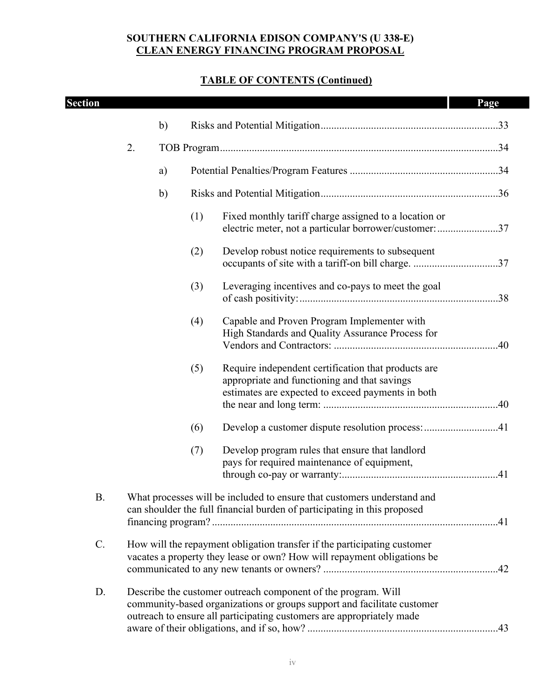| <b>Section</b> |    |    |     |                                                                                                                                                                                                                   | Page |
|----------------|----|----|-----|-------------------------------------------------------------------------------------------------------------------------------------------------------------------------------------------------------------------|------|
|                |    | b) |     |                                                                                                                                                                                                                   |      |
|                | 2. |    |     |                                                                                                                                                                                                                   |      |
|                |    | a) |     |                                                                                                                                                                                                                   |      |
|                |    | b) |     |                                                                                                                                                                                                                   |      |
|                |    |    |     |                                                                                                                                                                                                                   |      |
|                |    |    | (1) | Fixed monthly tariff charge assigned to a location or<br>electric meter, not a particular borrower/customer: 37                                                                                                   |      |
|                |    |    | (2) | Develop robust notice requirements to subsequent<br>occupants of site with a tariff-on bill charge. 37                                                                                                            |      |
|                |    |    | (3) | Leveraging incentives and co-pays to meet the goal                                                                                                                                                                |      |
|                |    |    | (4) | Capable and Proven Program Implementer with<br>High Standards and Quality Assurance Process for                                                                                                                   |      |
|                |    |    | (5) | Require independent certification that products are<br>appropriate and functioning and that savings<br>estimates are expected to exceed payments in both                                                          |      |
|                |    |    | (6) | Develop a customer dispute resolution process: 41                                                                                                                                                                 |      |
|                |    |    | (7) | Develop program rules that ensure that landlord<br>pays for required maintenance of equipment,                                                                                                                    |      |
| <b>B.</b>      |    |    |     | What processes will be included to ensure that customers understand and<br>can shoulder the full financial burden of participating in this proposed                                                               |      |
| C.             |    |    |     | How will the repayment obligation transfer if the participating customer<br>vacates a property they lease or own? How will repayment obligations be                                                               |      |
| D.             |    |    |     | Describe the customer outreach component of the program. Will<br>community-based organizations or groups support and facilitate customer<br>outreach to ensure all participating customers are appropriately made |      |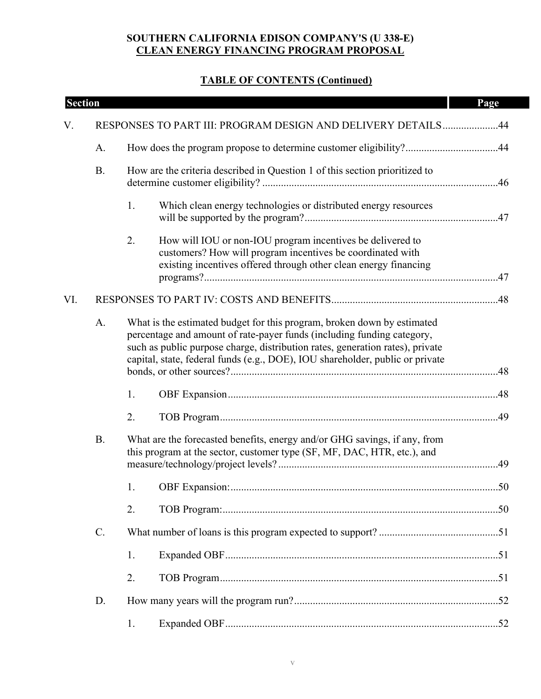| <b>Section</b> |                 |    |                                                                                                                                                                                                                                                                                                                     | Page |
|----------------|-----------------|----|---------------------------------------------------------------------------------------------------------------------------------------------------------------------------------------------------------------------------------------------------------------------------------------------------------------------|------|
| V.             |                 |    | RESPONSES TO PART III: PROGRAM DESIGN AND DELIVERY DETAILS44                                                                                                                                                                                                                                                        |      |
|                | A.              |    | How does the program propose to determine customer eligibility?44                                                                                                                                                                                                                                                   |      |
|                | <b>B.</b>       |    | How are the criteria described in Question 1 of this section prioritized to                                                                                                                                                                                                                                         |      |
|                |                 | 1. | Which clean energy technologies or distributed energy resources                                                                                                                                                                                                                                                     |      |
|                |                 | 2. | How will IOU or non-IOU program incentives be delivered to<br>customers? How will program incentives be coordinated with<br>existing incentives offered through other clean energy financing                                                                                                                        |      |
| VI.            |                 |    |                                                                                                                                                                                                                                                                                                                     |      |
|                | A.              |    | What is the estimated budget for this program, broken down by estimated<br>percentage and amount of rate-payer funds (including funding category,<br>such as public purpose charge, distribution rates, generation rates), private<br>capital, state, federal funds (e.g., DOE), IOU shareholder, public or private |      |
|                |                 | 1. |                                                                                                                                                                                                                                                                                                                     |      |
|                |                 | 2. |                                                                                                                                                                                                                                                                                                                     |      |
|                | <b>B.</b>       |    | What are the forecasted benefits, energy and/or GHG savings, if any, from<br>this program at the sector, customer type (SF, MF, DAC, HTR, etc.), and                                                                                                                                                                |      |
|                |                 | 1. |                                                                                                                                                                                                                                                                                                                     |      |
|                |                 | 2. |                                                                                                                                                                                                                                                                                                                     |      |
|                | $\mathcal{C}$ . |    |                                                                                                                                                                                                                                                                                                                     |      |
|                |                 | 1. |                                                                                                                                                                                                                                                                                                                     |      |
|                |                 | 2. |                                                                                                                                                                                                                                                                                                                     |      |
|                | D.              |    |                                                                                                                                                                                                                                                                                                                     |      |
|                |                 | 1. |                                                                                                                                                                                                                                                                                                                     |      |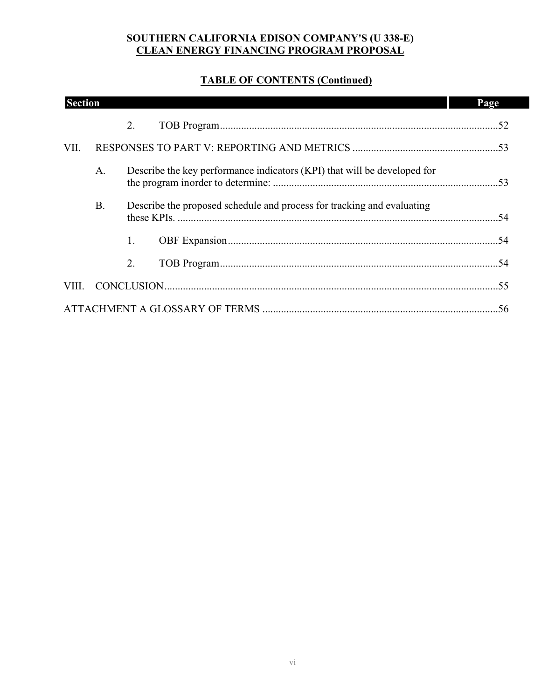| <b>Section</b> |           |                                                                          | Page |
|----------------|-----------|--------------------------------------------------------------------------|------|
|                |           | 2.                                                                       |      |
| VII.           |           |                                                                          |      |
|                | A.        | Describe the key performance indicators (KPI) that will be developed for |      |
|                | <b>B.</b> | Describe the proposed schedule and process for tracking and evaluating   |      |
|                |           | 1.                                                                       |      |
|                |           | 2.                                                                       |      |
| VIII.          |           |                                                                          |      |
|                |           |                                                                          |      |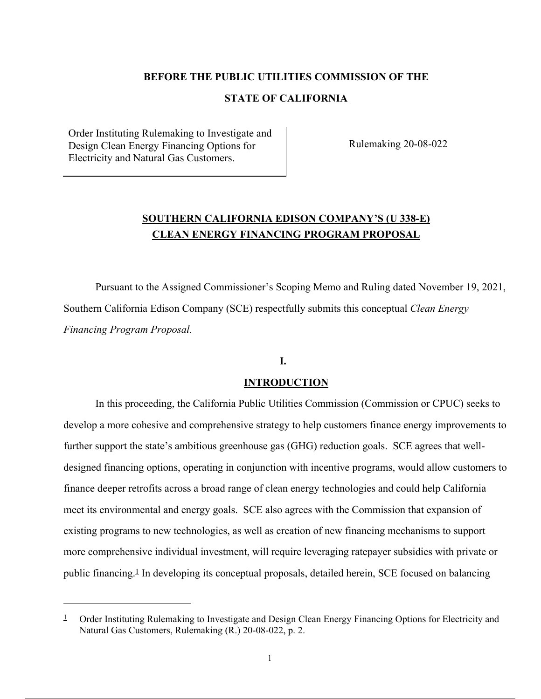#### **BEFORE THE PUBLIC UTILITIES COMMISSION OF THE**

### **STATE OF CALIFORNIA**

Order Instituting Rulemaking to Investigate and Design Clean Energy Financing Options for Electricity and Natural Gas Customers.

Rulemaking 20-08-022

## **SOUTHERN CALIFORNIA EDISON COMPANY'S (U 338-E) CLEAN ENERGY FINANCING PROGRAM PROPOSAL**

Pursuant to the Assigned Commissioner's Scoping Memo and Ruling dated November 19, 2021, Southern California Edison Company (SCE) respectfully submits this conceptual *Clean Energy Financing Program Proposal.*

### **I.**

#### **INTRODUCTION**

In this proceeding, the California Public Utilities Commission (Commission or CPUC) seeks to develop a more cohesive and comprehensive strategy to help customers finance energy improvements to further support the state's ambitious greenhouse gas (GHG) reduction goals. SCE agrees that welldesigned financing options, operating in conjunction with incentive programs, would allow customers to finance deeper retrofits across a broad range of clean energy technologies and could help California meet its environmental and energy goals. SCE also agrees with the Commission that expansion of existing programs to new technologies, as well as creation of new financing mechanisms to support more comprehensive individual investment, will require leveraging ratepayer subsidies with private or public financing.1 In developing its conceptual proposals, detailed herein, SCE focused on balancing

<sup>&</sup>lt;sup>1</sup> Order Instituting Rulemaking to Investigate and Design Clean Energy Financing Options for Electricity and Natural Gas Customers, Rulemaking (R.) 20-08-022, p. 2.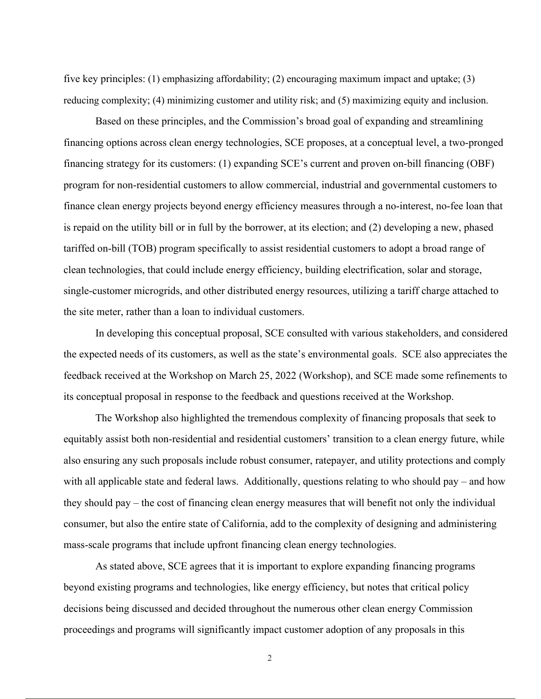five key principles: (1) emphasizing affordability; (2) encouraging maximum impact and uptake; (3) reducing complexity; (4) minimizing customer and utility risk; and (5) maximizing equity and inclusion.

Based on these principles, and the Commission's broad goal of expanding and streamlining financing options across clean energy technologies, SCE proposes, at a conceptual level, a two-pronged financing strategy for its customers: (1) expanding SCE's current and proven on-bill financing (OBF) program for non-residential customers to allow commercial, industrial and governmental customers to finance clean energy projects beyond energy efficiency measures through a no-interest, no-fee loan that is repaid on the utility bill or in full by the borrower, at its election; and (2) developing a new, phased tariffed on-bill (TOB) program specifically to assist residential customers to adopt a broad range of clean technologies, that could include energy efficiency, building electrification, solar and storage, single-customer microgrids, and other distributed energy resources, utilizing a tariff charge attached to the site meter, rather than a loan to individual customers.

In developing this conceptual proposal, SCE consulted with various stakeholders, and considered the expected needs of its customers, as well as the state's environmental goals. SCE also appreciates the feedback received at the Workshop on March 25, 2022 (Workshop), and SCE made some refinements to its conceptual proposal in response to the feedback and questions received at the Workshop.

The Workshop also highlighted the tremendous complexity of financing proposals that seek to equitably assist both non-residential and residential customers' transition to a clean energy future, while also ensuring any such proposals include robust consumer, ratepayer, and utility protections and comply with all applicable state and federal laws. Additionally, questions relating to who should pay – and how they should pay – the cost of financing clean energy measures that will benefit not only the individual consumer, but also the entire state of California, add to the complexity of designing and administering mass-scale programs that include upfront financing clean energy technologies.

As stated above, SCE agrees that it is important to explore expanding financing programs beyond existing programs and technologies, like energy efficiency, but notes that critical policy decisions being discussed and decided throughout the numerous other clean energy Commission proceedings and programs will significantly impact customer adoption of any proposals in this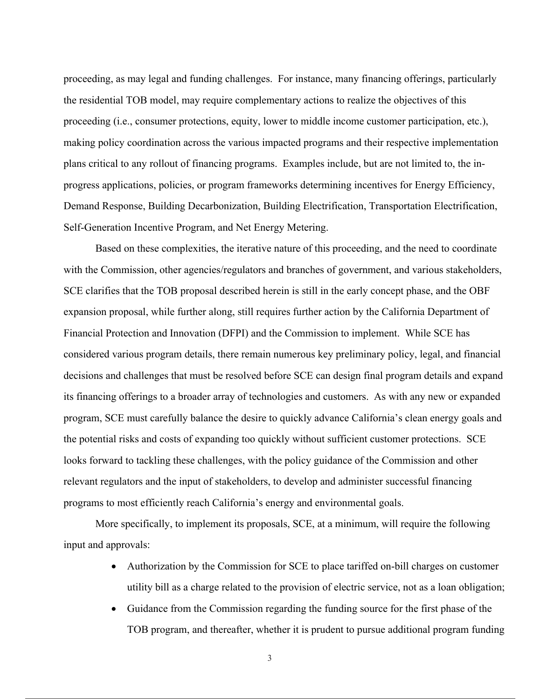proceeding, as may legal and funding challenges. For instance, many financing offerings, particularly the residential TOB model, may require complementary actions to realize the objectives of this proceeding (i.e., consumer protections, equity, lower to middle income customer participation, etc.), making policy coordination across the various impacted programs and their respective implementation plans critical to any rollout of financing programs. Examples include, but are not limited to, the inprogress applications, policies, or program frameworks determining incentives for Energy Efficiency, Demand Response, Building Decarbonization, Building Electrification, Transportation Electrification, Self-Generation Incentive Program, and Net Energy Metering.

Based on these complexities, the iterative nature of this proceeding, and the need to coordinate with the Commission, other agencies/regulators and branches of government, and various stakeholders, SCE clarifies that the TOB proposal described herein is still in the early concept phase, and the OBF expansion proposal, while further along, still requires further action by the California Department of Financial Protection and Innovation (DFPI) and the Commission to implement. While SCE has considered various program details, there remain numerous key preliminary policy, legal, and financial decisions and challenges that must be resolved before SCE can design final program details and expand its financing offerings to a broader array of technologies and customers. As with any new or expanded program, SCE must carefully balance the desire to quickly advance California's clean energy goals and the potential risks and costs of expanding too quickly without sufficient customer protections. SCE looks forward to tackling these challenges, with the policy guidance of the Commission and other relevant regulators and the input of stakeholders, to develop and administer successful financing programs to most efficiently reach California's energy and environmental goals.

More specifically, to implement its proposals, SCE, at a minimum, will require the following input and approvals:

- Authorization by the Commission for SCE to place tariffed on-bill charges on customer utility bill as a charge related to the provision of electric service, not as a loan obligation;
- Guidance from the Commission regarding the funding source for the first phase of the TOB program, and thereafter, whether it is prudent to pursue additional program funding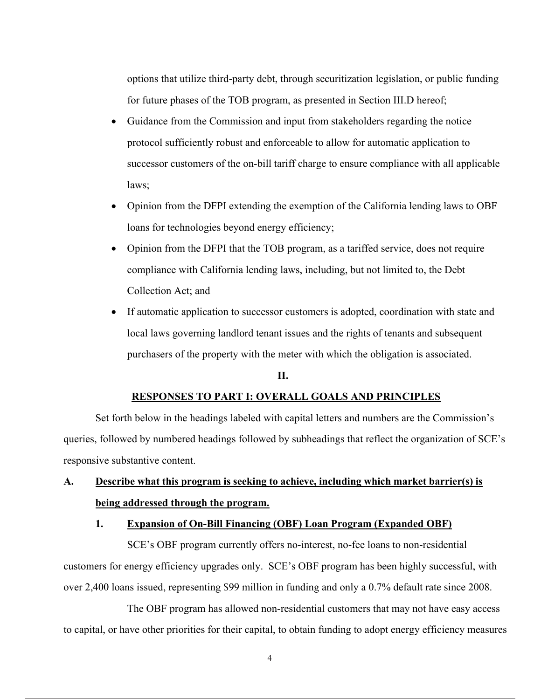options that utilize third-party debt, through securitization legislation, or public funding for future phases of the TOB program, as presented in Section III.D hereof;

- Guidance from the Commission and input from stakeholders regarding the notice protocol sufficiently robust and enforceable to allow for automatic application to successor customers of the on-bill tariff charge to ensure compliance with all applicable laws;
- Opinion from the DFPI extending the exemption of the California lending laws to OBF loans for technologies beyond energy efficiency;
- Opinion from the DFPI that the TOB program, as a tariffed service, does not require compliance with California lending laws, including, but not limited to, the Debt Collection Act; and
- If automatic application to successor customers is adopted, coordination with state and local laws governing landlord tenant issues and the rights of tenants and subsequent purchasers of the property with the meter with which the obligation is associated.

#### **II.**

#### **RESPONSES TO PART I: OVERALL GOALS AND PRINCIPLES**

Set forth below in the headings labeled with capital letters and numbers are the Commission's queries, followed by numbered headings followed by subheadings that reflect the organization of SCE's responsive substantive content.

## **A. Describe what this program is seeking to achieve, including which market barrier(s) is being addressed through the program.**

#### **1. Expansion of On-Bill Financing (OBF) Loan Program (Expanded OBF)**

SCE's OBF program currently offers no-interest, no-fee loans to non-residential customers for energy efficiency upgrades only. SCE's OBF program has been highly successful, with over 2,400 loans issued, representing \$99 million in funding and only a 0.7% default rate since 2008.

The OBF program has allowed non-residential customers that may not have easy access to capital, or have other priorities for their capital, to obtain funding to adopt energy efficiency measures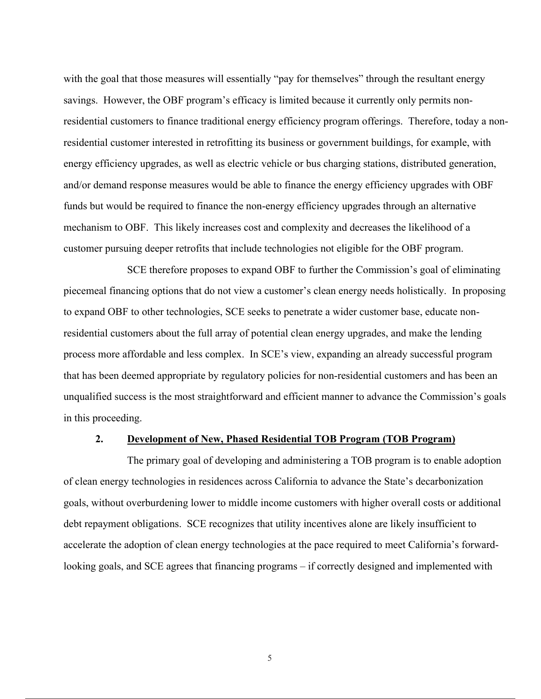with the goal that those measures will essentially "pay for themselves" through the resultant energy savings. However, the OBF program's efficacy is limited because it currently only permits nonresidential customers to finance traditional energy efficiency program offerings. Therefore, today a nonresidential customer interested in retrofitting its business or government buildings, for example, with energy efficiency upgrades, as well as electric vehicle or bus charging stations, distributed generation, and/or demand response measures would be able to finance the energy efficiency upgrades with OBF funds but would be required to finance the non-energy efficiency upgrades through an alternative mechanism to OBF. This likely increases cost and complexity and decreases the likelihood of a customer pursuing deeper retrofits that include technologies not eligible for the OBF program.

SCE therefore proposes to expand OBF to further the Commission's goal of eliminating piecemeal financing options that do not view a customer's clean energy needs holistically. In proposing to expand OBF to other technologies, SCE seeks to penetrate a wider customer base, educate nonresidential customers about the full array of potential clean energy upgrades, and make the lending process more affordable and less complex. In SCE's view, expanding an already successful program that has been deemed appropriate by regulatory policies for non-residential customers and has been an unqualified success is the most straightforward and efficient manner to advance the Commission's goals in this proceeding.

#### **2. Development of New, Phased Residential TOB Program (TOB Program)**

The primary goal of developing and administering a TOB program is to enable adoption of clean energy technologies in residences across California to advance the State's decarbonization goals, without overburdening lower to middle income customers with higher overall costs or additional debt repayment obligations. SCE recognizes that utility incentives alone are likely insufficient to accelerate the adoption of clean energy technologies at the pace required to meet California's forwardlooking goals, and SCE agrees that financing programs – if correctly designed and implemented with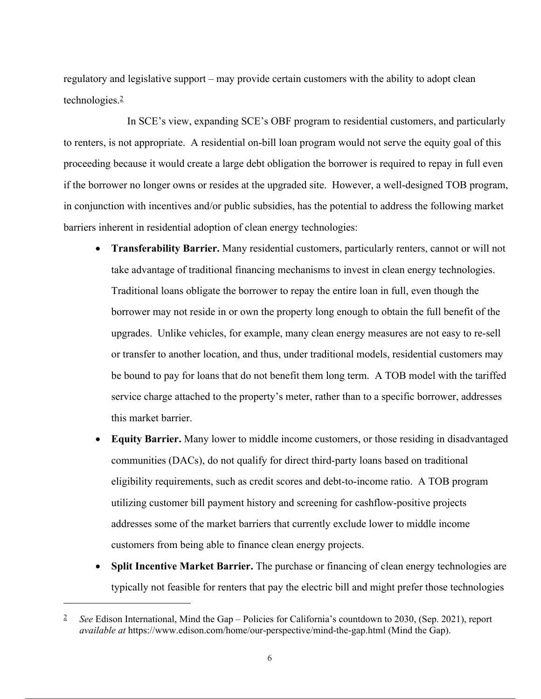regulatory and legislative support – may provide certain customers with the ability to adopt clean technologies.2

In SCE's view, expanding SCE's OBF program to residential customers, and particularly to renters, is not appropriate. A residential on-bill loan program would not serve the equity goal of this proceeding because it would create a large debt obligation the borrower is required to repay in full even if the borrower no longer owns or resides at the upgraded site. However, a well-designed TOB program, in conjunction with incentives and/or public subsidies, has the potential to address the following market barriers inherent in residential adoption of clean energy technologies:

- **Transferability Barrier.** Many residential customers, particularly renters, cannot or will not take advantage of traditional financing mechanisms to invest in clean energy technologies. Traditional loans obligate the borrower to repay the entire loan in full, even though the borrower may not reside in or own the property long enough to obtain the full benefit of the upgrades. Unlike vehicles, for example, many clean energy measures are not easy to re-sell or transfer to another location, and thus, under traditional models, residential customers may be bound to pay for loans that do not benefit them long term. A TOB model with the tariffed service charge attached to the property's meter, rather than to a specific borrower, addresses this market barrier.
- **Equity Barrier.** Many lower to middle income customers, or those residing in disadvantaged communities (DACs), do not qualify for direct third-party loans based on traditional eligibility requirements, such as credit scores and debt-to-income ratio. A TOB program utilizing customer bill payment history and screening for cashflow-positive projects addresses some of the market barriers that currently exclude lower to middle income customers from being able to finance clean energy projects.
- **Split Incentive Market Barrier.** The purchase or financing of clean energy technologies are typically not feasible for renters that pay the electric bill and might prefer those technologies

<sup>2</sup> *See* Edison International, Mind the Gap – Policies for California's countdown to 2030, (Sep. 2021), report *available at* https://www.edison.com/home/our-perspective/mind-the-gap.html (Mind the Gap).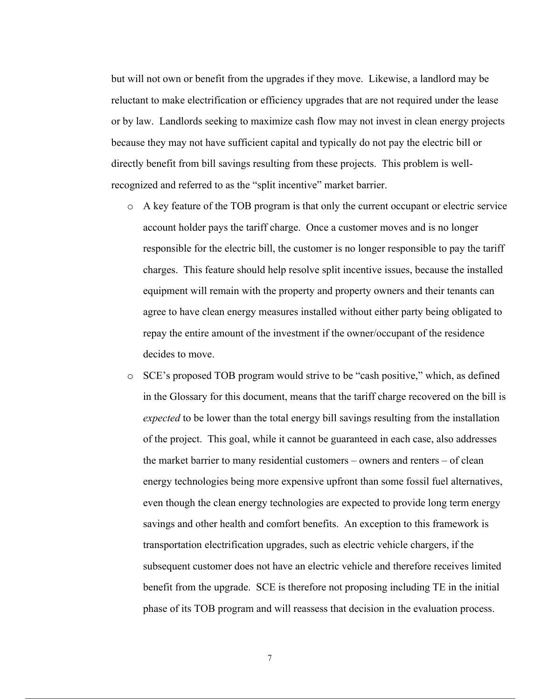but will not own or benefit from the upgrades if they move. Likewise, a landlord may be reluctant to make electrification or efficiency upgrades that are not required under the lease or by law. Landlords seeking to maximize cash flow may not invest in clean energy projects because they may not have sufficient capital and typically do not pay the electric bill or directly benefit from bill savings resulting from these projects. This problem is wellrecognized and referred to as the "split incentive" market barrier.

- o A key feature of the TOB program is that only the current occupant or electric service account holder pays the tariff charge. Once a customer moves and is no longer responsible for the electric bill, the customer is no longer responsible to pay the tariff charges. This feature should help resolve split incentive issues, because the installed equipment will remain with the property and property owners and their tenants can agree to have clean energy measures installed without either party being obligated to repay the entire amount of the investment if the owner/occupant of the residence decides to move.
- o SCE's proposed TOB program would strive to be "cash positive," which, as defined in the Glossary for this document, means that the tariff charge recovered on the bill is *expected* to be lower than the total energy bill savings resulting from the installation of the project. This goal, while it cannot be guaranteed in each case, also addresses the market barrier to many residential customers – owners and renters – of clean energy technologies being more expensive upfront than some fossil fuel alternatives, even though the clean energy technologies are expected to provide long term energy savings and other health and comfort benefits. An exception to this framework is transportation electrification upgrades, such as electric vehicle chargers, if the subsequent customer does not have an electric vehicle and therefore receives limited benefit from the upgrade. SCE is therefore not proposing including TE in the initial phase of its TOB program and will reassess that decision in the evaluation process.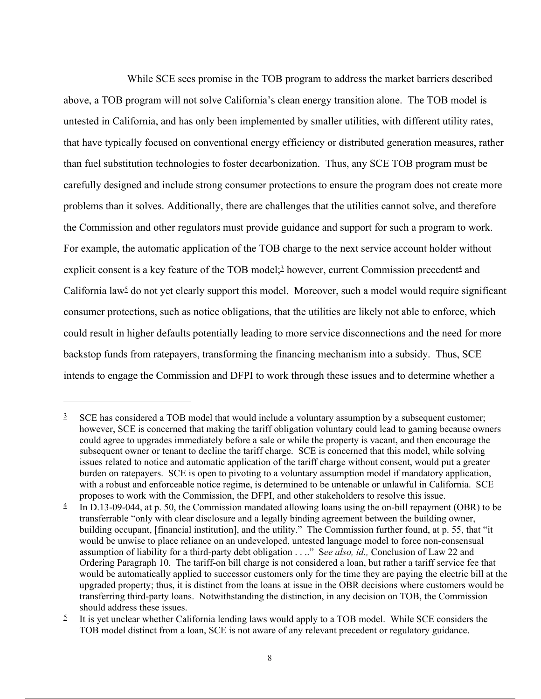While SCE sees promise in the TOB program to address the market barriers described above, a TOB program will not solve California's clean energy transition alone. The TOB model is untested in California, and has only been implemented by smaller utilities, with different utility rates, that have typically focused on conventional energy efficiency or distributed generation measures, rather than fuel substitution technologies to foster decarbonization. Thus, any SCE TOB program must be carefully designed and include strong consumer protections to ensure the program does not create more problems than it solves. Additionally, there are challenges that the utilities cannot solve, and therefore the Commission and other regulators must provide guidance and support for such a program to work. For example, the automatic application of the TOB charge to the next service account holder without explicit consent is a key feature of the TOB model; $\frac{3}{2}$  however, current Commission precedent $\frac{4}{2}$  and California law<sup> $5$ </sup> do not yet clearly support this model. Moreover, such a model would require significant consumer protections, such as notice obligations, that the utilities are likely not able to enforce, which could result in higher defaults potentially leading to more service disconnections and the need for more backstop funds from ratepayers, transforming the financing mechanism into a subsidy. Thus, SCE intends to engage the Commission and DFPI to work through these issues and to determine whether a

 $3$  SCE has considered a TOB model that would include a voluntary assumption by a subsequent customer; however, SCE is concerned that making the tariff obligation voluntary could lead to gaming because owners could agree to upgrades immediately before a sale or while the property is vacant, and then encourage the subsequent owner or tenant to decline the tariff charge. SCE is concerned that this model, while solving issues related to notice and automatic application of the tariff charge without consent, would put a greater burden on ratepayers. SCE is open to pivoting to a voluntary assumption model if mandatory application, with a robust and enforceable notice regime, is determined to be untenable or unlawful in California. SCE proposes to work with the Commission, the DFPI, and other stakeholders to resolve this issue.

 $\frac{4}{1}$  In D.13-09-044, at p. 50, the Commission mandated allowing loans using the on-bill repayment (OBR) to be transferrable "only with clear disclosure and a legally binding agreement between the building owner, building occupant, [financial institution], and the utility." The Commission further found, at p. 55, that "it would be unwise to place reliance on an undeveloped, untested language model to force non-consensual assumption of liability for a third-party debt obligation . . .." S*ee also, id.,* Conclusion of Law 22 and Ordering Paragraph 10. The tariff-on bill charge is not considered a loan, but rather a tariff service fee that would be automatically applied to successor customers only for the time they are paying the electric bill at the upgraded property; thus, it is distinct from the loans at issue in the OBR decisions where customers would be transferring third-party loans. Notwithstanding the distinction, in any decision on TOB, the Commission should address these issues.

 $\frac{5}{2}$  It is yet unclear whether California lending laws would apply to a TOB model. While SCE considers the TOB model distinct from a loan, SCE is not aware of any relevant precedent or regulatory guidance.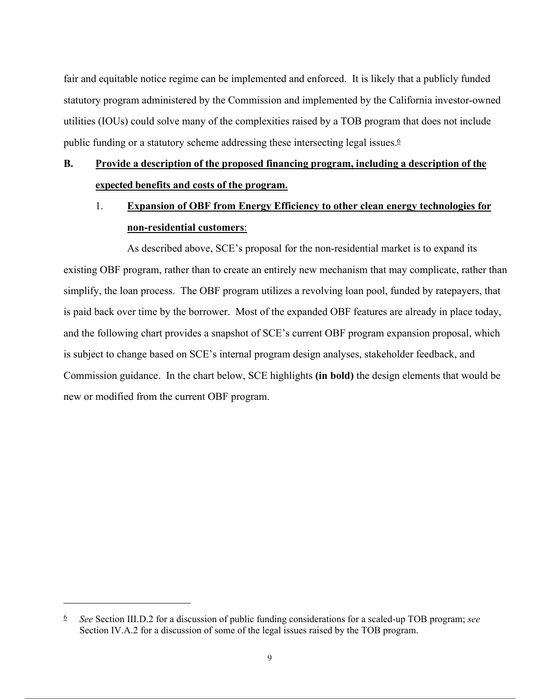fair and equitable notice regime can be implemented and enforced. It is likely that a publicly funded statutory program administered by the Commission and implemented by the California investor-owned utilities (IOUs) could solve many of the complexities raised by a TOB program that does not include public funding or a statutory scheme addressing these intersecting legal issues.6

## **B. Provide a description of the proposed financing program, including a description of the expected benefits and costs of the program.**

## 1. **Expansion of OBF from Energy Efficiency to other clean energy technologies for non-residential customers**:

As described above, SCE's proposal for the non-residential market is to expand its existing OBF program, rather than to create an entirely new mechanism that may complicate, rather than simplify, the loan process. The OBF program utilizes a revolving loan pool, funded by ratepayers, that is paid back over time by the borrower. Most of the expanded OBF features are already in place today, and the following chart provides a snapshot of SCE's current OBF program expansion proposal, which is subject to change based on SCE's internal program design analyses, stakeholder feedback, and Commission guidance. In the chart below, SCE highlights **(in bold)** the design elements that would be new or modified from the current OBF program.

<sup>6</sup> *See* Section III.D.2 for a discussion of public funding considerations for a scaled-up TOB program; *see*  Section IV.A.2 for a discussion of some of the legal issues raised by the TOB program.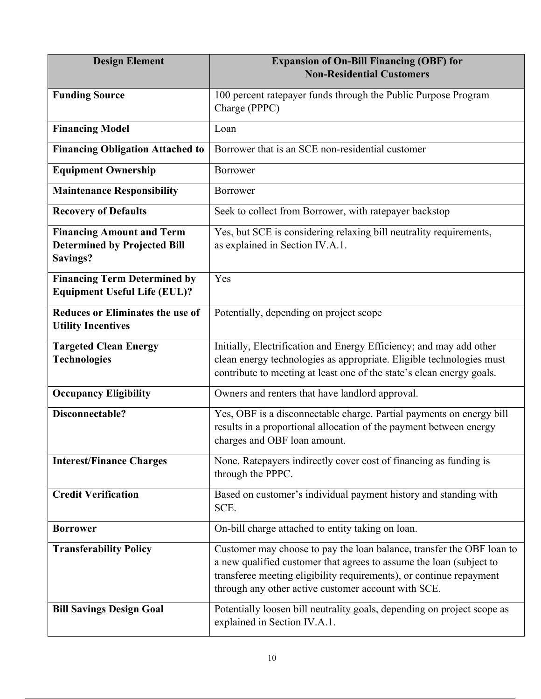| <b>Design Element</b>                                                               | <b>Expansion of On-Bill Financing (OBF) for</b><br><b>Non-Residential Customers</b>                                                                                                                                                                                        |
|-------------------------------------------------------------------------------------|----------------------------------------------------------------------------------------------------------------------------------------------------------------------------------------------------------------------------------------------------------------------------|
| <b>Funding Source</b>                                                               | 100 percent ratepayer funds through the Public Purpose Program<br>Charge (PPPC)                                                                                                                                                                                            |
| <b>Financing Model</b>                                                              | Loan                                                                                                                                                                                                                                                                       |
| <b>Financing Obligation Attached to</b>                                             | Borrower that is an SCE non-residential customer                                                                                                                                                                                                                           |
| <b>Equipment Ownership</b>                                                          | <b>Borrower</b>                                                                                                                                                                                                                                                            |
| <b>Maintenance Responsibility</b>                                                   | Borrower                                                                                                                                                                                                                                                                   |
| <b>Recovery of Defaults</b>                                                         | Seek to collect from Borrower, with ratepayer backstop                                                                                                                                                                                                                     |
| <b>Financing Amount and Term</b><br><b>Determined by Projected Bill</b><br>Savings? | Yes, but SCE is considering relaxing bill neutrality requirements,<br>as explained in Section IV.A.1.                                                                                                                                                                      |
| <b>Financing Term Determined by</b><br><b>Equipment Useful Life (EUL)?</b>          | Yes                                                                                                                                                                                                                                                                        |
| <b>Reduces or Eliminates the use of</b><br><b>Utility Incentives</b>                | Potentially, depending on project scope                                                                                                                                                                                                                                    |
| <b>Targeted Clean Energy</b><br><b>Technologies</b>                                 | Initially, Electrification and Energy Efficiency; and may add other<br>clean energy technologies as appropriate. Eligible technologies must<br>contribute to meeting at least one of the state's clean energy goals.                                                       |
| <b>Occupancy Eligibility</b>                                                        | Owners and renters that have landlord approval.                                                                                                                                                                                                                            |
| Disconnectable?                                                                     | Yes, OBF is a disconnectable charge. Partial payments on energy bill<br>results in a proportional allocation of the payment between energy<br>charges and OBF loan amount.                                                                                                 |
| <b>Interest/Finance Charges</b>                                                     | None. Ratepayers indirectly cover cost of financing as funding is<br>through the PPPC.                                                                                                                                                                                     |
| <b>Credit Verification</b>                                                          | Based on customer's individual payment history and standing with<br>SCE.                                                                                                                                                                                                   |
| <b>Borrower</b>                                                                     | On-bill charge attached to entity taking on loan.                                                                                                                                                                                                                          |
| <b>Transferability Policy</b>                                                       | Customer may choose to pay the loan balance, transfer the OBF loan to<br>a new qualified customer that agrees to assume the loan (subject to<br>transferee meeting eligibility requirements), or continue repayment<br>through any other active customer account with SCE. |
| <b>Bill Savings Design Goal</b>                                                     | Potentially loosen bill neutrality goals, depending on project scope as<br>explained in Section IV.A.1.                                                                                                                                                                    |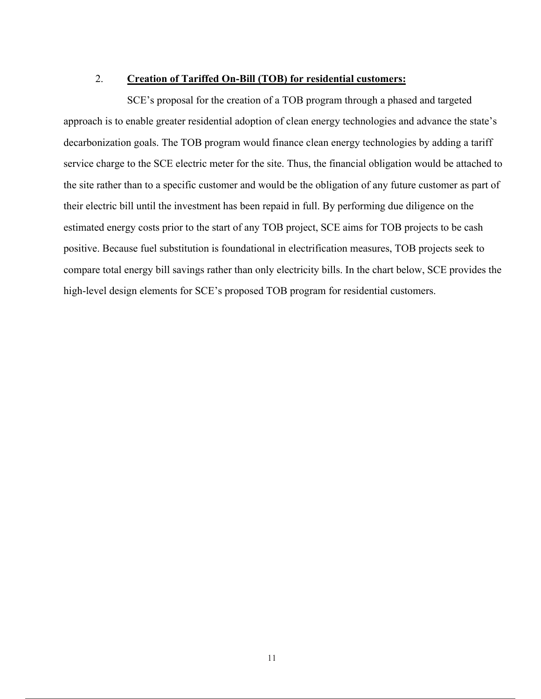## 2. **Creation of Tariffed On-Bill (TOB) for residential customers:**

SCE's proposal for the creation of a TOB program through a phased and targeted approach is to enable greater residential adoption of clean energy technologies and advance the state's decarbonization goals. The TOB program would finance clean energy technologies by adding a tariff service charge to the SCE electric meter for the site. Thus, the financial obligation would be attached to the site rather than to a specific customer and would be the obligation of any future customer as part of their electric bill until the investment has been repaid in full. By performing due diligence on the estimated energy costs prior to the start of any TOB project, SCE aims for TOB projects to be cash positive. Because fuel substitution is foundational in electrification measures, TOB projects seek to compare total energy bill savings rather than only electricity bills. In the chart below, SCE provides the high-level design elements for SCE's proposed TOB program for residential customers.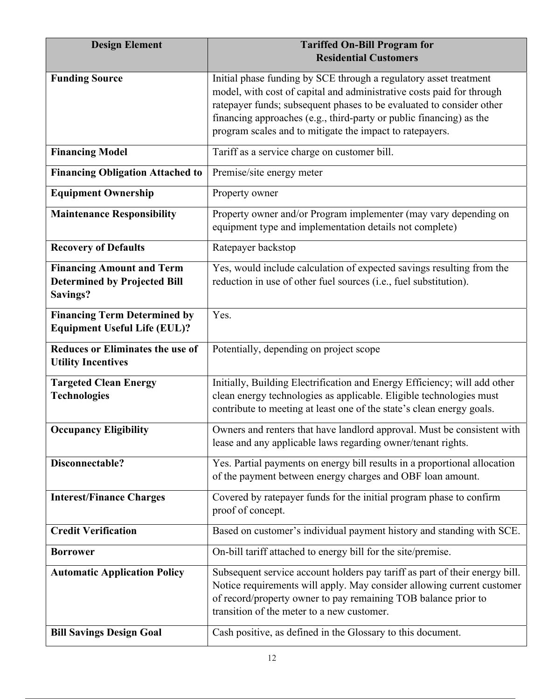| <b>Design Element</b>                                                                      | <b>Tariffed On-Bill Program for</b><br><b>Residential Customers</b>                                                                                                                                                                                                                                                                                   |
|--------------------------------------------------------------------------------------------|-------------------------------------------------------------------------------------------------------------------------------------------------------------------------------------------------------------------------------------------------------------------------------------------------------------------------------------------------------|
| <b>Funding Source</b>                                                                      | Initial phase funding by SCE through a regulatory asset treatment<br>model, with cost of capital and administrative costs paid for through<br>ratepayer funds; subsequent phases to be evaluated to consider other<br>financing approaches (e.g., third-party or public financing) as the<br>program scales and to mitigate the impact to ratepayers. |
| <b>Financing Model</b>                                                                     | Tariff as a service charge on customer bill.                                                                                                                                                                                                                                                                                                          |
| <b>Financing Obligation Attached to</b>                                                    | Premise/site energy meter                                                                                                                                                                                                                                                                                                                             |
| <b>Equipment Ownership</b>                                                                 | Property owner                                                                                                                                                                                                                                                                                                                                        |
| <b>Maintenance Responsibility</b>                                                          | Property owner and/or Program implementer (may vary depending on<br>equipment type and implementation details not complete)                                                                                                                                                                                                                           |
| <b>Recovery of Defaults</b>                                                                | Ratepayer backstop                                                                                                                                                                                                                                                                                                                                    |
| <b>Financing Amount and Term</b><br><b>Determined by Projected Bill</b><br><b>Savings?</b> | Yes, would include calculation of expected savings resulting from the<br>reduction in use of other fuel sources (i.e., fuel substitution).                                                                                                                                                                                                            |
| <b>Financing Term Determined by</b><br><b>Equipment Useful Life (EUL)?</b>                 | Yes.                                                                                                                                                                                                                                                                                                                                                  |
| <b>Reduces or Eliminates the use of</b><br><b>Utility Incentives</b>                       | Potentially, depending on project scope                                                                                                                                                                                                                                                                                                               |
| <b>Targeted Clean Energy</b><br><b>Technologies</b>                                        | Initially, Building Electrification and Energy Efficiency; will add other<br>clean energy technologies as applicable. Eligible technologies must<br>contribute to meeting at least one of the state's clean energy goals.                                                                                                                             |
| <b>Occupancy Eligibility</b>                                                               | Owners and renters that have landlord approval. Must be consistent with<br>lease and any applicable laws regarding owner/tenant rights.                                                                                                                                                                                                               |
| Disconnectable?                                                                            | Yes. Partial payments on energy bill results in a proportional allocation<br>of the payment between energy charges and OBF loan amount.                                                                                                                                                                                                               |
| <b>Interest/Finance Charges</b>                                                            | Covered by ratepayer funds for the initial program phase to confirm<br>proof of concept.                                                                                                                                                                                                                                                              |
| <b>Credit Verification</b>                                                                 | Based on customer's individual payment history and standing with SCE.                                                                                                                                                                                                                                                                                 |
| <b>Borrower</b>                                                                            | On-bill tariff attached to energy bill for the site/premise.                                                                                                                                                                                                                                                                                          |
| <b>Automatic Application Policy</b>                                                        | Subsequent service account holders pay tariff as part of their energy bill.<br>Notice requirements will apply. May consider allowing current customer<br>of record/property owner to pay remaining TOB balance prior to<br>transition of the meter to a new customer.                                                                                 |
| <b>Bill Savings Design Goal</b>                                                            | Cash positive, as defined in the Glossary to this document.                                                                                                                                                                                                                                                                                           |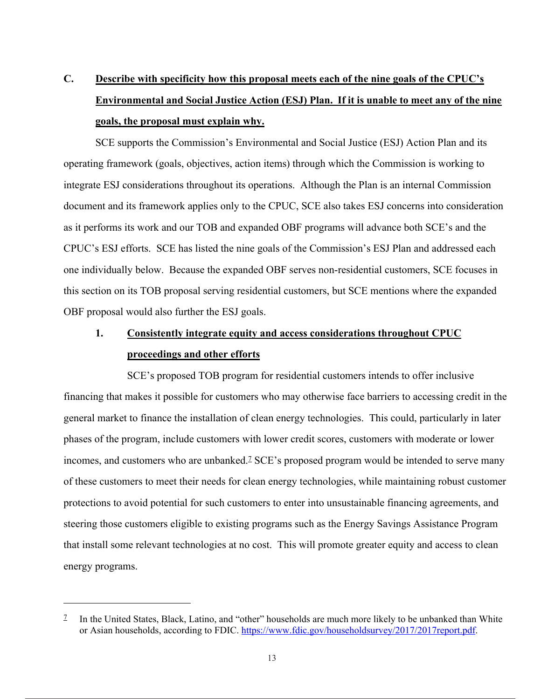# **C. Describe with specificity how this proposal meets each of the nine goals of the CPUC's Environmental and Social Justice Action (ESJ) Plan. If it is unable to meet any of the nine goals, the proposal must explain why.**

SCE supports the Commission's Environmental and Social Justice (ESJ) Action Plan and its operating framework (goals, objectives, action items) through which the Commission is working to integrate ESJ considerations throughout its operations. Although the Plan is an internal Commission document and its framework applies only to the CPUC, SCE also takes ESJ concerns into consideration as it performs its work and our TOB and expanded OBF programs will advance both SCE's and the CPUC's ESJ efforts. SCE has listed the nine goals of the Commission's ESJ Plan and addressed each one individually below. Because the expanded OBF serves non-residential customers, SCE focuses in this section on its TOB proposal serving residential customers, but SCE mentions where the expanded OBF proposal would also further the ESJ goals.

## **1. Consistently integrate equity and access considerations throughout CPUC proceedings and other efforts**

SCE's proposed TOB program for residential customers intends to offer inclusive financing that makes it possible for customers who may otherwise face barriers to accessing credit in the general market to finance the installation of clean energy technologies. This could, particularly in later phases of the program, include customers with lower credit scores, customers with moderate or lower incomes, and customers who are unbanked.<sup>7</sup> SCE's proposed program would be intended to serve many of these customers to meet their needs for clean energy technologies, while maintaining robust customer protections to avoid potential for such customers to enter into unsustainable financing agreements, and steering those customers eligible to existing programs such as the Energy Savings Assistance Program that install some relevant technologies at no cost. This will promote greater equity and access to clean energy programs.

<sup>7</sup> In the United States, Black, Latino, and "other" households are much more likely to be unbanked than White or Asian households, according to FDIC. https://www.fdic.gov/householdsurvey/2017/2017report.pdf.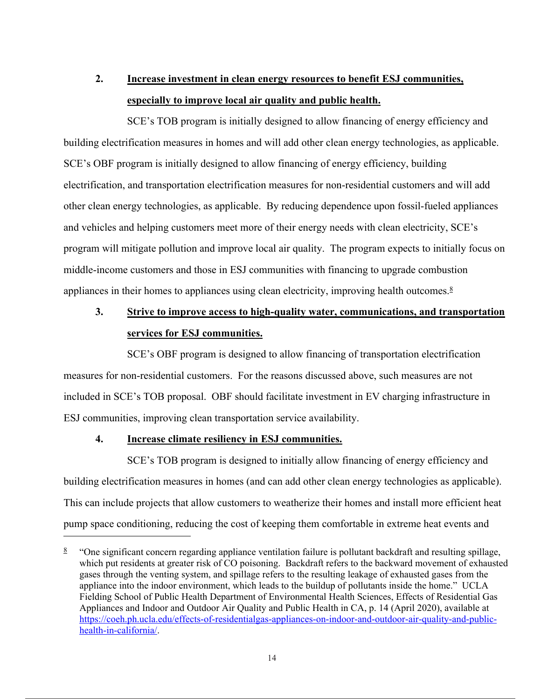# **2. Increase investment in clean energy resources to benefit ESJ communities, especially to improve local air quality and public health.**

SCE's TOB program is initially designed to allow financing of energy efficiency and building electrification measures in homes and will add other clean energy technologies, as applicable. SCE's OBF program is initially designed to allow financing of energy efficiency, building electrification, and transportation electrification measures for non-residential customers and will add other clean energy technologies, as applicable. By reducing dependence upon fossil-fueled appliances and vehicles and helping customers meet more of their energy needs with clean electricity, SCE's program will mitigate pollution and improve local air quality. The program expects to initially focus on middle-income customers and those in ESJ communities with financing to upgrade combustion appliances in their homes to appliances using clean electricity, improving health outcomes.<sup>8</sup>

## **3. Strive to improve access to high-quality water, communications, and transportation services for ESJ communities.**

SCE's OBF program is designed to allow financing of transportation electrification measures for non-residential customers. For the reasons discussed above, such measures are not included in SCE's TOB proposal. OBF should facilitate investment in EV charging infrastructure in ESJ communities, improving clean transportation service availability.

### **4. Increase climate resiliency in ESJ communities.**

SCE's TOB program is designed to initially allow financing of energy efficiency and building electrification measures in homes (and can add other clean energy technologies as applicable). This can include projects that allow customers to weatherize their homes and install more efficient heat pump space conditioning, reducing the cost of keeping them comfortable in extreme heat events and

<sup>&</sup>lt;sup>8</sup> "One significant concern regarding appliance ventilation failure is pollutant backdraft and resulting spillage, which put residents at greater risk of CO poisoning. Backdraft refers to the backward movement of exhausted gases through the venting system, and spillage refers to the resulting leakage of exhausted gases from the appliance into the indoor environment, which leads to the buildup of pollutants inside the home." UCLA Fielding School of Public Health Department of Environmental Health Sciences, Effects of Residential Gas Appliances and Indoor and Outdoor Air Quality and Public Health in CA, p. 14 (April 2020), available at https://coeh.ph.ucla.edu/effects-of-residentialgas-appliances-on-indoor-and-outdoor-air-quality-and-publichealth-in-california/.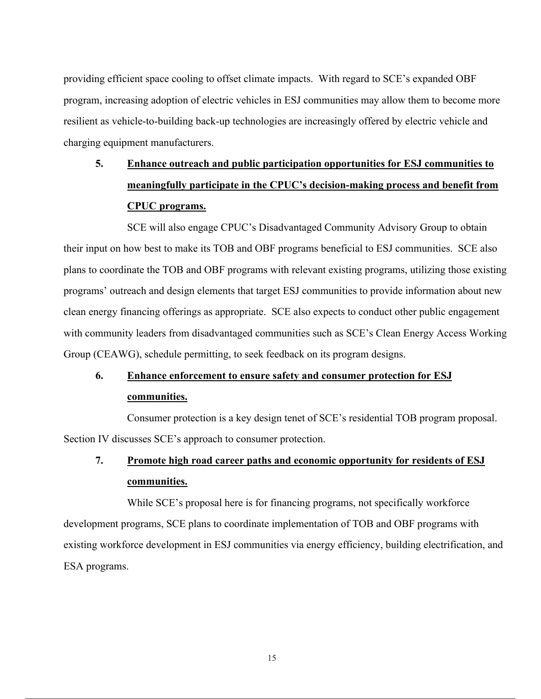providing efficient space cooling to offset climate impacts. With regard to SCE's expanded OBF program, increasing adoption of electric vehicles in ESJ communities may allow them to become more resilient as vehicle-to-building back-up technologies are increasingly offered by electric vehicle and charging equipment manufacturers.

# **5. Enhance outreach and public participation opportunities for ESJ communities to meaningfully participate in the CPUC's decision-making process and benefit from CPUC programs.**

SCE will also engage CPUC's Disadvantaged Community Advisory Group to obtain their input on how best to make its TOB and OBF programs beneficial to ESJ communities. SCE also plans to coordinate the TOB and OBF programs with relevant existing programs, utilizing those existing programs' outreach and design elements that target ESJ communities to provide information about new clean energy financing offerings as appropriate. SCE also expects to conduct other public engagement with community leaders from disadvantaged communities such as SCE's Clean Energy Access Working Group (CEAWG), schedule permitting, to seek feedback on its program designs.

# **6. Enhance enforcement to ensure safety and consumer protection for ESJ communities.**

Consumer protection is a key design tenet of SCE's residential TOB program proposal. Section IV discusses SCE's approach to consumer protection.

# **7. Promote high road career paths and economic opportunity for residents of ESJ communities.**

While SCE's proposal here is for financing programs, not specifically workforce development programs, SCE plans to coordinate implementation of TOB and OBF programs with existing workforce development in ESJ communities via energy efficiency, building electrification, and ESA programs.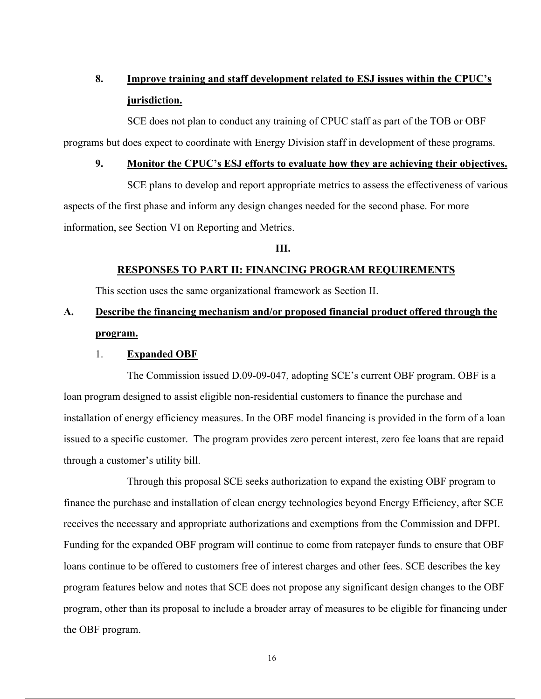## **8. Improve training and staff development related to ESJ issues within the CPUC's jurisdiction.**

SCE does not plan to conduct any training of CPUC staff as part of the TOB or OBF programs but does expect to coordinate with Energy Division staff in development of these programs.

### **9. Monitor the CPUC's ESJ efforts to evaluate how they are achieving their objectives.**

SCE plans to develop and report appropriate metrics to assess the effectiveness of various aspects of the first phase and inform any design changes needed for the second phase. For more information, see Section VI on Reporting and Metrics.

### **III.**

### **RESPONSES TO PART II: FINANCING PROGRAM REQUIREMENTS**

This section uses the same organizational framework as Section II.

## **A. Describe the financing mechanism and/or proposed financial product offered through the program.**

### 1. **Expanded OBF**

The Commission issued D.09-09-047, adopting SCE's current OBF program. OBF is a loan program designed to assist eligible non-residential customers to finance the purchase and installation of energy efficiency measures. In the OBF model financing is provided in the form of a loan issued to a specific customer. The program provides zero percent interest, zero fee loans that are repaid through a customer's utility bill.

Through this proposal SCE seeks authorization to expand the existing OBF program to finance the purchase and installation of clean energy technologies beyond Energy Efficiency, after SCE receives the necessary and appropriate authorizations and exemptions from the Commission and DFPI. Funding for the expanded OBF program will continue to come from ratepayer funds to ensure that OBF loans continue to be offered to customers free of interest charges and other fees. SCE describes the key program features below and notes that SCE does not propose any significant design changes to the OBF program, other than its proposal to include a broader array of measures to be eligible for financing under the OBF program.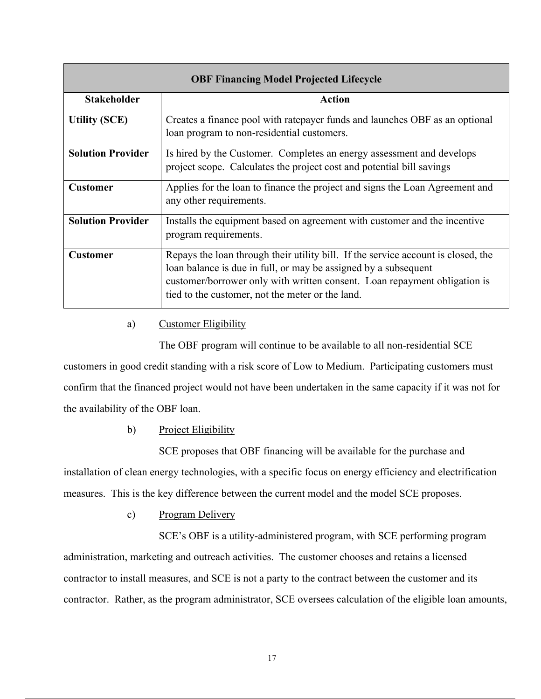| <b>OBF Financing Model Projected Lifecycle</b> |                                                                                                                                                                                                                                                                                       |  |  |
|------------------------------------------------|---------------------------------------------------------------------------------------------------------------------------------------------------------------------------------------------------------------------------------------------------------------------------------------|--|--|
| <b>Stakeholder</b>                             | <b>Action</b>                                                                                                                                                                                                                                                                         |  |  |
| <b>Utility (SCE)</b>                           | Creates a finance pool with ratepayer funds and launches OBF as an optional<br>loan program to non-residential customers.                                                                                                                                                             |  |  |
| <b>Solution Provider</b>                       | Is hired by the Customer. Completes an energy assessment and develops<br>project scope. Calculates the project cost and potential bill savings                                                                                                                                        |  |  |
| <b>Customer</b>                                | Applies for the loan to finance the project and signs the Loan Agreement and<br>any other requirements.                                                                                                                                                                               |  |  |
| <b>Solution Provider</b>                       | Installs the equipment based on agreement with customer and the incentive<br>program requirements.                                                                                                                                                                                    |  |  |
| <b>Customer</b>                                | Repays the loan through their utility bill. If the service account is closed, the<br>loan balance is due in full, or may be assigned by a subsequent<br>customer/borrower only with written consent. Loan repayment obligation is<br>tied to the customer, not the meter or the land. |  |  |

## a) Customer Eligibility

The OBF program will continue to be available to all non-residential SCE

customers in good credit standing with a risk score of Low to Medium. Participating customers must confirm that the financed project would not have been undertaken in the same capacity if it was not for the availability of the OBF loan.

b) Project Eligibility

SCE proposes that OBF financing will be available for the purchase and installation of clean energy technologies, with a specific focus on energy efficiency and electrification measures. This is the key difference between the current model and the model SCE proposes.

c) Program Delivery

SCE's OBF is a utility-administered program, with SCE performing program administration, marketing and outreach activities. The customer chooses and retains a licensed contractor to install measures, and SCE is not a party to the contract between the customer and its contractor. Rather, as the program administrator, SCE oversees calculation of the eligible loan amounts,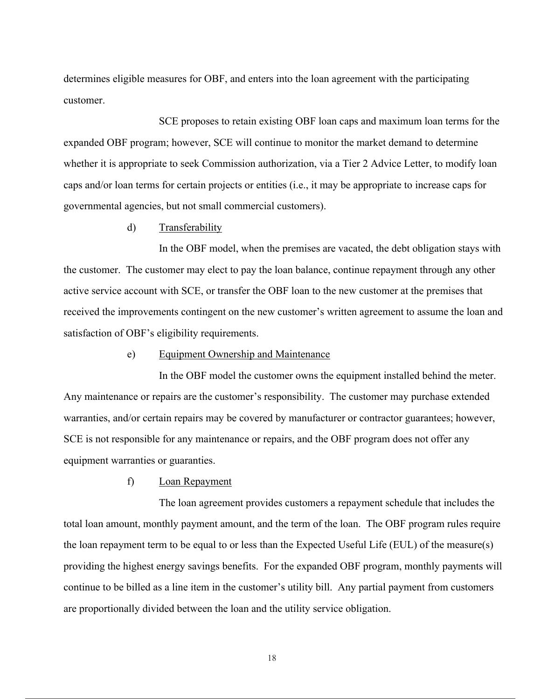determines eligible measures for OBF, and enters into the loan agreement with the participating customer.

SCE proposes to retain existing OBF loan caps and maximum loan terms for the expanded OBF program; however, SCE will continue to monitor the market demand to determine whether it is appropriate to seek Commission authorization, via a Tier 2 Advice Letter, to modify loan caps and/or loan terms for certain projects or entities (i.e., it may be appropriate to increase caps for governmental agencies, but not small commercial customers).

d) Transferability

In the OBF model, when the premises are vacated, the debt obligation stays with the customer. The customer may elect to pay the loan balance, continue repayment through any other active service account with SCE, or transfer the OBF loan to the new customer at the premises that received the improvements contingent on the new customer's written agreement to assume the loan and satisfaction of OBF's eligibility requirements.

e) Equipment Ownership and Maintenance

In the OBF model the customer owns the equipment installed behind the meter. Any maintenance or repairs are the customer's responsibility. The customer may purchase extended warranties, and/or certain repairs may be covered by manufacturer or contractor guarantees; however, SCE is not responsible for any maintenance or repairs, and the OBF program does not offer any equipment warranties or guaranties.

f) Loan Repayment

The loan agreement provides customers a repayment schedule that includes the total loan amount, monthly payment amount, and the term of the loan. The OBF program rules require the loan repayment term to be equal to or less than the Expected Useful Life (EUL) of the measure(s) providing the highest energy savings benefits. For the expanded OBF program, monthly payments will continue to be billed as a line item in the customer's utility bill. Any partial payment from customers are proportionally divided between the loan and the utility service obligation.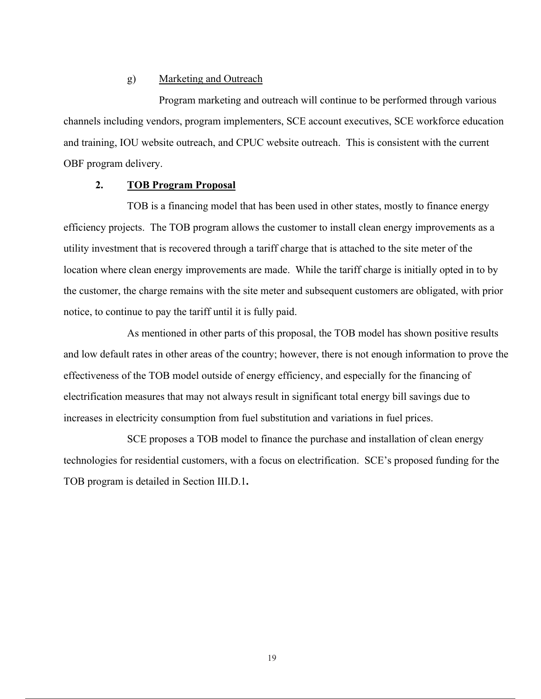### g) Marketing and Outreach

Program marketing and outreach will continue to be performed through various channels including vendors, program implementers, SCE account executives, SCE workforce education and training, IOU website outreach, and CPUC website outreach. This is consistent with the current OBF program delivery.

### **2. TOB Program Proposal**

TOB is a financing model that has been used in other states, mostly to finance energy efficiency projects. The TOB program allows the customer to install clean energy improvements as a utility investment that is recovered through a tariff charge that is attached to the site meter of the location where clean energy improvements are made. While the tariff charge is initially opted in to by the customer, the charge remains with the site meter and subsequent customers are obligated, with prior notice, to continue to pay the tariff until it is fully paid.

As mentioned in other parts of this proposal, the TOB model has shown positive results and low default rates in other areas of the country; however, there is not enough information to prove the effectiveness of the TOB model outside of energy efficiency, and especially for the financing of electrification measures that may not always result in significant total energy bill savings due to increases in electricity consumption from fuel substitution and variations in fuel prices.

SCE proposes a TOB model to finance the purchase and installation of clean energy technologies for residential customers, with a focus on electrification. SCE's proposed funding for the TOB program is detailed in Section III.D.1**.**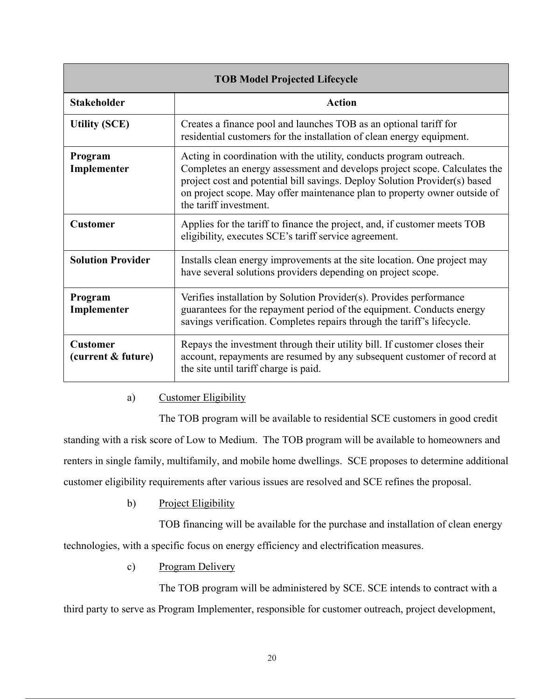| <b>TOB Model Projected Lifecycle</b>  |                                                                                                                                                                                                                                                                                                                                       |  |  |
|---------------------------------------|---------------------------------------------------------------------------------------------------------------------------------------------------------------------------------------------------------------------------------------------------------------------------------------------------------------------------------------|--|--|
| <b>Stakeholder</b>                    | Action                                                                                                                                                                                                                                                                                                                                |  |  |
| <b>Utility (SCE)</b>                  | Creates a finance pool and launches TOB as an optional tariff for<br>residential customers for the installation of clean energy equipment.                                                                                                                                                                                            |  |  |
| Program<br>Implementer                | Acting in coordination with the utility, conducts program outreach.<br>Completes an energy assessment and develops project scope. Calculates the<br>project cost and potential bill savings. Deploy Solution Provider(s) based<br>on project scope. May offer maintenance plan to property owner outside of<br>the tariff investment. |  |  |
| <b>Customer</b>                       | Applies for the tariff to finance the project, and, if customer meets TOB<br>eligibility, executes SCE's tariff service agreement.                                                                                                                                                                                                    |  |  |
| <b>Solution Provider</b>              | Installs clean energy improvements at the site location. One project may<br>have several solutions providers depending on project scope.                                                                                                                                                                                              |  |  |
| Program<br>Implementer                | Verifies installation by Solution Provider(s). Provides performance<br>guarantees for the repayment period of the equipment. Conducts energy<br>savings verification. Completes repairs through the tariff's lifecycle.                                                                                                               |  |  |
| <b>Customer</b><br>(current & future) | Repays the investment through their utility bill. If customer closes their<br>account, repayments are resumed by any subsequent customer of record at<br>the site until tariff charge is paid.                                                                                                                                        |  |  |

## a) Customer Eligibility

The TOB program will be available to residential SCE customers in good credit standing with a risk score of Low to Medium. The TOB program will be available to homeowners and renters in single family, multifamily, and mobile home dwellings. SCE proposes to determine additional customer eligibility requirements after various issues are resolved and SCE refines the proposal.

b) Project Eligibility

TOB financing will be available for the purchase and installation of clean energy technologies, with a specific focus on energy efficiency and electrification measures.

c) Program Delivery

The TOB program will be administered by SCE. SCE intends to contract with a third party to serve as Program Implementer, responsible for customer outreach, project development,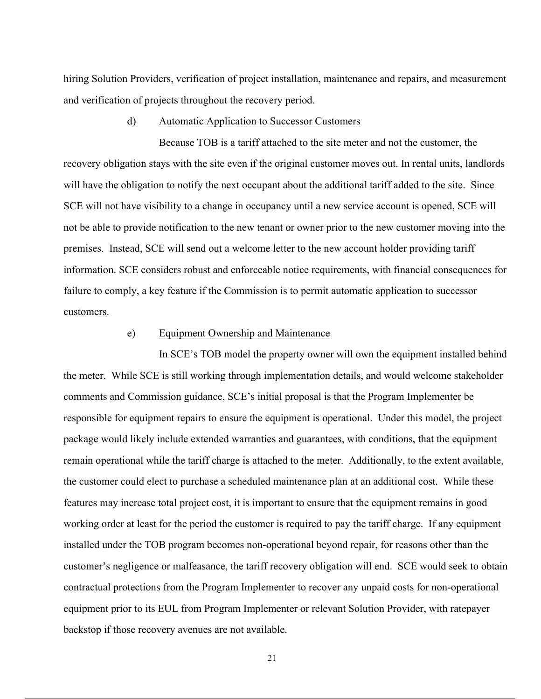hiring Solution Providers, verification of project installation, maintenance and repairs, and measurement and verification of projects throughout the recovery period.

#### d) Automatic Application to Successor Customers

Because TOB is a tariff attached to the site meter and not the customer, the recovery obligation stays with the site even if the original customer moves out. In rental units, landlords will have the obligation to notify the next occupant about the additional tariff added to the site. Since SCE will not have visibility to a change in occupancy until a new service account is opened, SCE will not be able to provide notification to the new tenant or owner prior to the new customer moving into the premises. Instead, SCE will send out a welcome letter to the new account holder providing tariff information. SCE considers robust and enforceable notice requirements, with financial consequences for failure to comply, a key feature if the Commission is to permit automatic application to successor customers.

#### e) Equipment Ownership and Maintenance

In SCE's TOB model the property owner will own the equipment installed behind the meter. While SCE is still working through implementation details, and would welcome stakeholder comments and Commission guidance, SCE's initial proposal is that the Program Implementer be responsible for equipment repairs to ensure the equipment is operational. Under this model, the project package would likely include extended warranties and guarantees, with conditions, that the equipment remain operational while the tariff charge is attached to the meter. Additionally, to the extent available, the customer could elect to purchase a scheduled maintenance plan at an additional cost. While these features may increase total project cost, it is important to ensure that the equipment remains in good working order at least for the period the customer is required to pay the tariff charge. If any equipment installed under the TOB program becomes non-operational beyond repair, for reasons other than the customer's negligence or malfeasance, the tariff recovery obligation will end. SCE would seek to obtain contractual protections from the Program Implementer to recover any unpaid costs for non-operational equipment prior to its EUL from Program Implementer or relevant Solution Provider, with ratepayer backstop if those recovery avenues are not available.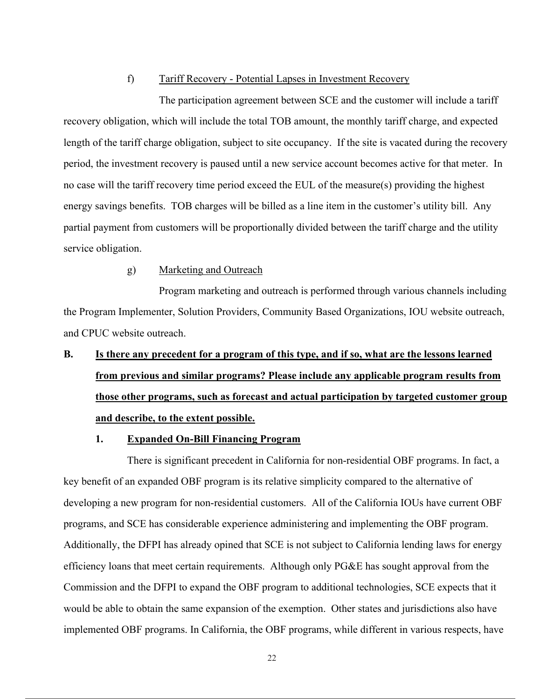#### f) Tariff Recovery - Potential Lapses in Investment Recovery

The participation agreement between SCE and the customer will include a tariff recovery obligation, which will include the total TOB amount, the monthly tariff charge, and expected length of the tariff charge obligation, subject to site occupancy. If the site is vacated during the recovery period, the investment recovery is paused until a new service account becomes active for that meter. In no case will the tariff recovery time period exceed the EUL of the measure(s) providing the highest energy savings benefits. TOB charges will be billed as a line item in the customer's utility bill. Any partial payment from customers will be proportionally divided between the tariff charge and the utility service obligation.

#### g) Marketing and Outreach

Program marketing and outreach is performed through various channels including the Program Implementer, Solution Providers, Community Based Organizations, IOU website outreach, and CPUC website outreach.

# **B. Is there any precedent for a program of this type, and if so, what are the lessons learned from previous and similar programs? Please include any applicable program results from those other programs, such as forecast and actual participation by targeted customer group and describe, to the extent possible.**

#### **1. Expanded On-Bill Financing Program**

There is significant precedent in California for non-residential OBF programs. In fact, a key benefit of an expanded OBF program is its relative simplicity compared to the alternative of developing a new program for non-residential customers. All of the California IOUs have current OBF programs, and SCE has considerable experience administering and implementing the OBF program. Additionally, the DFPI has already opined that SCE is not subject to California lending laws for energy efficiency loans that meet certain requirements. Although only PG&E has sought approval from the Commission and the DFPI to expand the OBF program to additional technologies, SCE expects that it would be able to obtain the same expansion of the exemption. Other states and jurisdictions also have implemented OBF programs. In California, the OBF programs, while different in various respects, have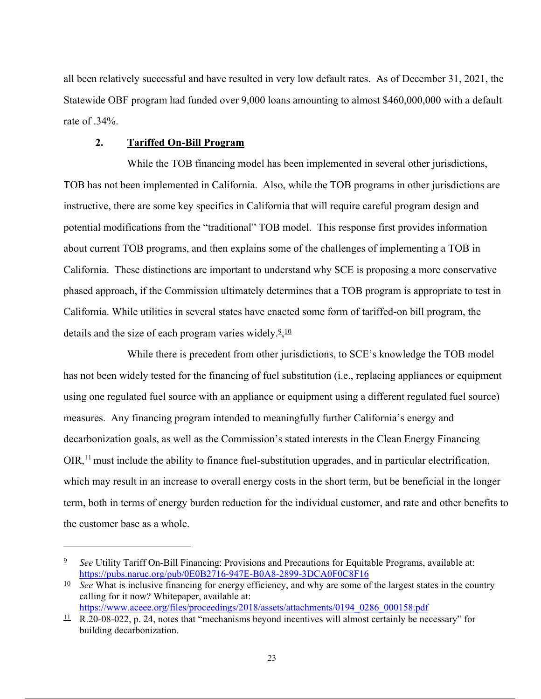all been relatively successful and have resulted in very low default rates. As of December 31, 2021, the Statewide OBF program had funded over 9,000 loans amounting to almost \$460,000,000 with a default rate of .34%.

#### **2. Tariffed On-Bill Program**

While the TOB financing model has been implemented in several other jurisdictions, TOB has not been implemented in California. Also, while the TOB programs in other jurisdictions are instructive, there are some key specifics in California that will require careful program design and potential modifications from the "traditional" TOB model. This response first provides information about current TOB programs, and then explains some of the challenges of implementing a TOB in California. These distinctions are important to understand why SCE is proposing a more conservative phased approach, if the Commission ultimately determines that a TOB program is appropriate to test in California. While utilities in several states have enacted some form of tariffed-on bill program, the details and the size of each program varies widely. $2,10$ 

While there is precedent from other jurisdictions, to SCE's knowledge the TOB model has not been widely tested for the financing of fuel substitution (i.e., replacing appliances or equipment using one regulated fuel source with an appliance or equipment using a different regulated fuel source) measures. Any financing program intended to meaningfully further California's energy and decarbonization goals, as well as the Commission's stated interests in the Clean Energy Financing  $OIR<sub>11</sub>$  must include the ability to finance fuel-substitution upgrades, and in particular electrification, which may result in an increase to overall energy costs in the short term, but be beneficial in the longer term, both in terms of energy burden reduction for the individual customer, and rate and other benefits to the customer base as a whole.

<sup>9</sup> *See* Utility Tariff On-Bill Financing: Provisions and Precautions for Equitable Programs, available at: https://pubs.naruc.org/pub/0E0B2716-947E-B0A8-2899-3DCA0F0C8F16

<sup>10</sup> *See* What is inclusive financing for energy efficiency, and why are some of the largest states in the country calling for it now? Whitepaper, available at: https://www.aceee.org/files/proceedings/2018/assets/attachments/0194\_0286\_000158.pdf

 $\frac{11}{2}$  R.20-08-022, p. 24, notes that "mechanisms beyond incentives will almost certainly be necessary" for building decarbonization.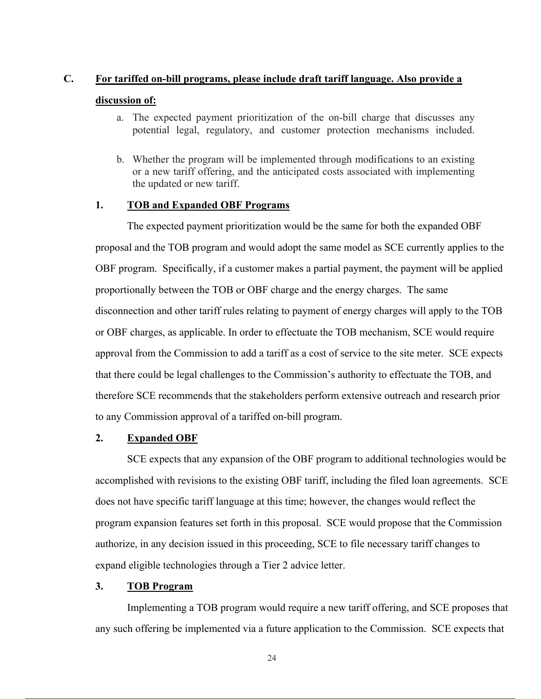#### **C. For tariffed on-bill programs, please include draft tariff language. Also provide a**

#### **discussion of:**

- a. The expected payment prioritization of the on-bill charge that discusses any potential legal, regulatory, and customer protection mechanisms included.
- b. Whether the program will be implemented through modifications to an existing or a new tariff offering, and the anticipated costs associated with implementing the updated or new tariff.

#### **1. TOB and Expanded OBF Programs**

The expected payment prioritization would be the same for both the expanded OBF proposal and the TOB program and would adopt the same model as SCE currently applies to the OBF program. Specifically, if a customer makes a partial payment, the payment will be applied proportionally between the TOB or OBF charge and the energy charges. The same disconnection and other tariff rules relating to payment of energy charges will apply to the TOB or OBF charges, as applicable. In order to effectuate the TOB mechanism, SCE would require approval from the Commission to add a tariff as a cost of service to the site meter. SCE expects that there could be legal challenges to the Commission's authority to effectuate the TOB, and therefore SCE recommends that the stakeholders perform extensive outreach and research prior to any Commission approval of a tariffed on-bill program.

### **2. Expanded OBF**

SCE expects that any expansion of the OBF program to additional technologies would be accomplished with revisions to the existing OBF tariff, including the filed loan agreements. SCE does not have specific tariff language at this time; however, the changes would reflect the program expansion features set forth in this proposal. SCE would propose that the Commission authorize, in any decision issued in this proceeding, SCE to file necessary tariff changes to expand eligible technologies through a Tier 2 advice letter.

### **3. TOB Program**

Implementing a TOB program would require a new tariff offering, and SCE proposes that any such offering be implemented via a future application to the Commission. SCE expects that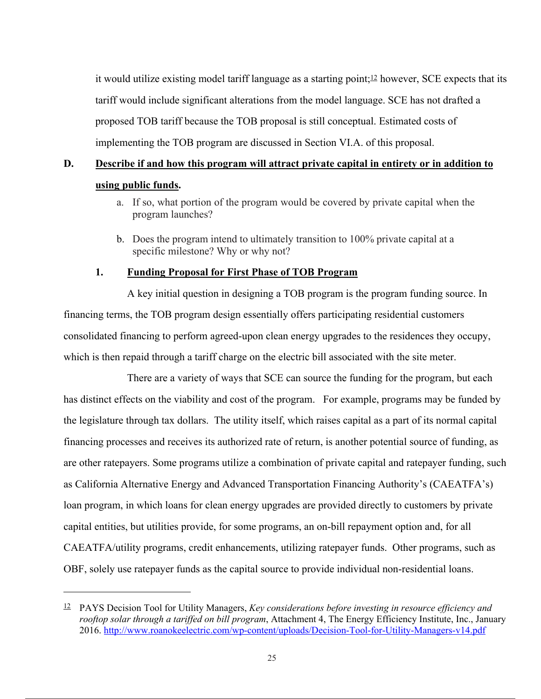it would utilize existing model tariff language as a starting point;  $\frac{12}{12}$  however, SCE expects that its tariff would include significant alterations from the model language. SCE has not drafted a proposed TOB tariff because the TOB proposal is still conceptual. Estimated costs of implementing the TOB program are discussed in Section VI.A. of this proposal.

## **D. Describe if and how this program will attract private capital in entirety or in addition to using public funds.**

- a. If so, what portion of the program would be covered by private capital when the program launches?
- b. Does the program intend to ultimately transition to 100% private capital at a specific milestone? Why or why not?

### **1. Funding Proposal for First Phase of TOB Program**

A key initial question in designing a TOB program is the program funding source. In financing terms, the TOB program design essentially offers participating residential customers consolidated financing to perform agreed-upon clean energy upgrades to the residences they occupy, which is then repaid through a tariff charge on the electric bill associated with the site meter.

There are a variety of ways that SCE can source the funding for the program, but each has distinct effects on the viability and cost of the program. For example, programs may be funded by the legislature through tax dollars. The utility itself, which raises capital as a part of its normal capital financing processes and receives its authorized rate of return, is another potential source of funding, as are other ratepayers. Some programs utilize a combination of private capital and ratepayer funding, such as California Alternative Energy and Advanced Transportation Financing Authority's (CAEATFA's) loan program, in which loans for clean energy upgrades are provided directly to customers by private capital entities, but utilities provide, for some programs, an on-bill repayment option and, for all CAEATFA/utility programs, credit enhancements, utilizing ratepayer funds. Other programs, such as OBF, solely use ratepayer funds as the capital source to provide individual non-residential loans.

<sup>12</sup> PAYS Decision Tool for Utility Managers, *Key considerations before investing in resource efficiency and rooftop solar through a tariffed on bill program*, Attachment 4, The Energy Efficiency Institute, Inc., January 2016. http://www.roanokeelectric.com/wp-content/uploads/Decision-Tool-for-Utility-Managers-v14.pdf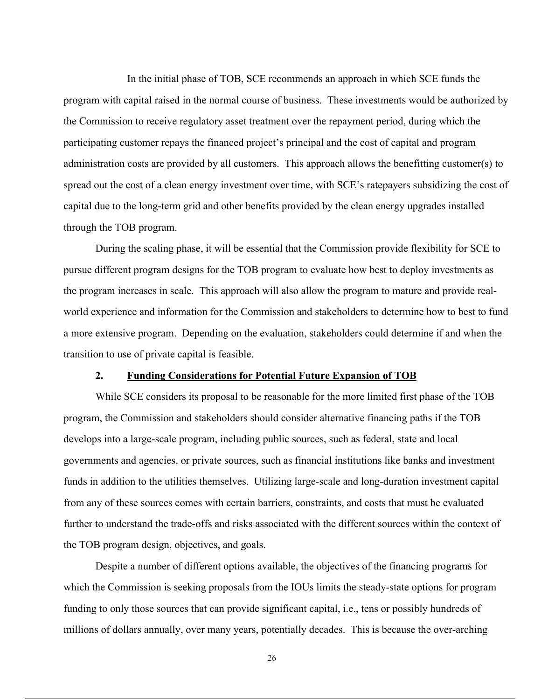In the initial phase of TOB, SCE recommends an approach in which SCE funds the program with capital raised in the normal course of business. These investments would be authorized by the Commission to receive regulatory asset treatment over the repayment period, during which the participating customer repays the financed project's principal and the cost of capital and program administration costs are provided by all customers. This approach allows the benefitting customer(s) to spread out the cost of a clean energy investment over time, with SCE's ratepayers subsidizing the cost of capital due to the long-term grid and other benefits provided by the clean energy upgrades installed through the TOB program.

During the scaling phase, it will be essential that the Commission provide flexibility for SCE to pursue different program designs for the TOB program to evaluate how best to deploy investments as the program increases in scale. This approach will also allow the program to mature and provide realworld experience and information for the Commission and stakeholders to determine how to best to fund a more extensive program. Depending on the evaluation, stakeholders could determine if and when the transition to use of private capital is feasible.

#### **2. Funding Considerations for Potential Future Expansion of TOB**

While SCE considers its proposal to be reasonable for the more limited first phase of the TOB program, the Commission and stakeholders should consider alternative financing paths if the TOB develops into a large-scale program, including public sources, such as federal, state and local governments and agencies, or private sources, such as financial institutions like banks and investment funds in addition to the utilities themselves. Utilizing large-scale and long-duration investment capital from any of these sources comes with certain barriers, constraints, and costs that must be evaluated further to understand the trade-offs and risks associated with the different sources within the context of the TOB program design, objectives, and goals.

Despite a number of different options available, the objectives of the financing programs for which the Commission is seeking proposals from the IOUs limits the steady-state options for program funding to only those sources that can provide significant capital, i.e., tens or possibly hundreds of millions of dollars annually, over many years, potentially decades. This is because the over-arching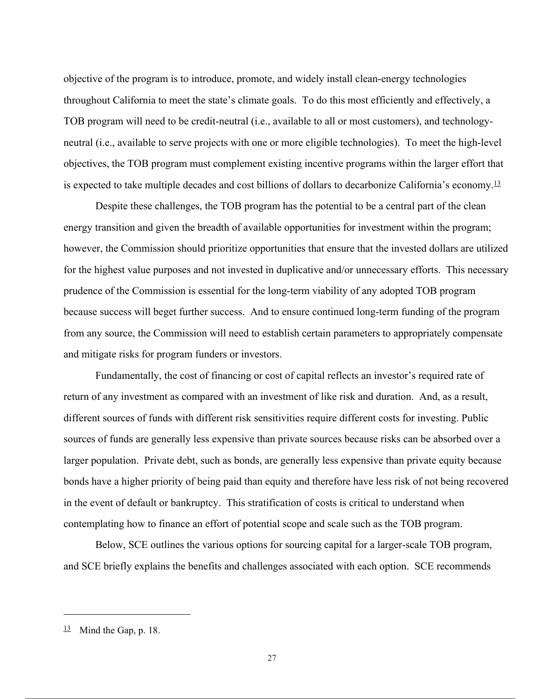objective of the program is to introduce, promote, and widely install clean-energy technologies throughout California to meet the state's climate goals. To do this most efficiently and effectively, a TOB program will need to be credit-neutral (i.e., available to all or most customers), and technologyneutral (i.e., available to serve projects with one or more eligible technologies). To meet the high-level objectives, the TOB program must complement existing incentive programs within the larger effort that is expected to take multiple decades and cost billions of dollars to decarbonize California's economy.13

Despite these challenges, the TOB program has the potential to be a central part of the clean energy transition and given the breadth of available opportunities for investment within the program; however, the Commission should prioritize opportunities that ensure that the invested dollars are utilized for the highest value purposes and not invested in duplicative and/or unnecessary efforts. This necessary prudence of the Commission is essential for the long-term viability of any adopted TOB program because success will beget further success. And to ensure continued long-term funding of the program from any source, the Commission will need to establish certain parameters to appropriately compensate and mitigate risks for program funders or investors.

Fundamentally, the cost of financing or cost of capital reflects an investor's required rate of return of any investment as compared with an investment of like risk and duration. And, as a result, different sources of funds with different risk sensitivities require different costs for investing. Public sources of funds are generally less expensive than private sources because risks can be absorbed over a larger population. Private debt, such as bonds, are generally less expensive than private equity because bonds have a higher priority of being paid than equity and therefore have less risk of not being recovered in the event of default or bankruptcy. This stratification of costs is critical to understand when contemplating how to finance an effort of potential scope and scale such as the TOB program.

Below, SCE outlines the various options for sourcing capital for a larger-scale TOB program, and SCE briefly explains the benefits and challenges associated with each option. SCE recommends

 $13$  Mind the Gap, p. 18.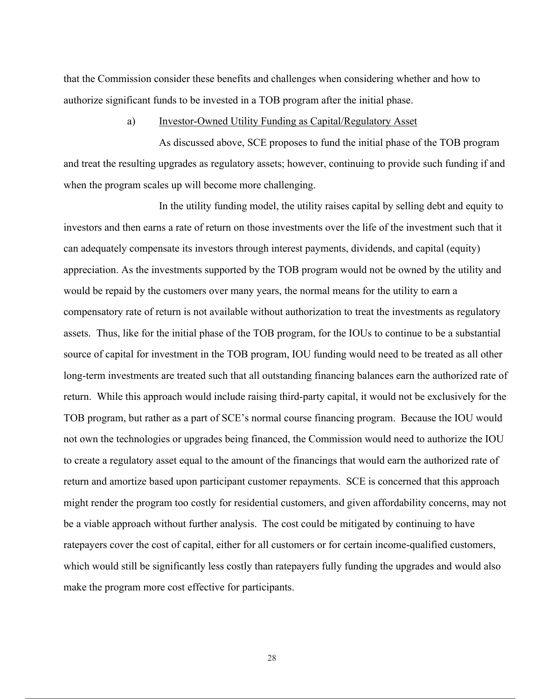that the Commission consider these benefits and challenges when considering whether and how to authorize significant funds to be invested in a TOB program after the initial phase.

#### a) Investor-Owned Utility Funding as Capital/Regulatory Asset

As discussed above, SCE proposes to fund the initial phase of the TOB program and treat the resulting upgrades as regulatory assets; however, continuing to provide such funding if and when the program scales up will become more challenging.

In the utility funding model, the utility raises capital by selling debt and equity to investors and then earns a rate of return on those investments over the life of the investment such that it can adequately compensate its investors through interest payments, dividends, and capital (equity) appreciation. As the investments supported by the TOB program would not be owned by the utility and would be repaid by the customers over many years, the normal means for the utility to earn a compensatory rate of return is not available without authorization to treat the investments as regulatory assets. Thus, like for the initial phase of the TOB program, for the IOUs to continue to be a substantial source of capital for investment in the TOB program, IOU funding would need to be treated as all other long-term investments are treated such that all outstanding financing balances earn the authorized rate of return. While this approach would include raising third-party capital, it would not be exclusively for the TOB program, but rather as a part of SCE's normal course financing program. Because the IOU would not own the technologies or upgrades being financed, the Commission would need to authorize the IOU to create a regulatory asset equal to the amount of the financings that would earn the authorized rate of return and amortize based upon participant customer repayments. SCE is concerned that this approach might render the program too costly for residential customers, and given affordability concerns, may not be a viable approach without further analysis. The cost could be mitigated by continuing to have ratepayers cover the cost of capital, either for all customers or for certain income-qualified customers, which would still be significantly less costly than ratepayers fully funding the upgrades and would also make the program more cost effective for participants.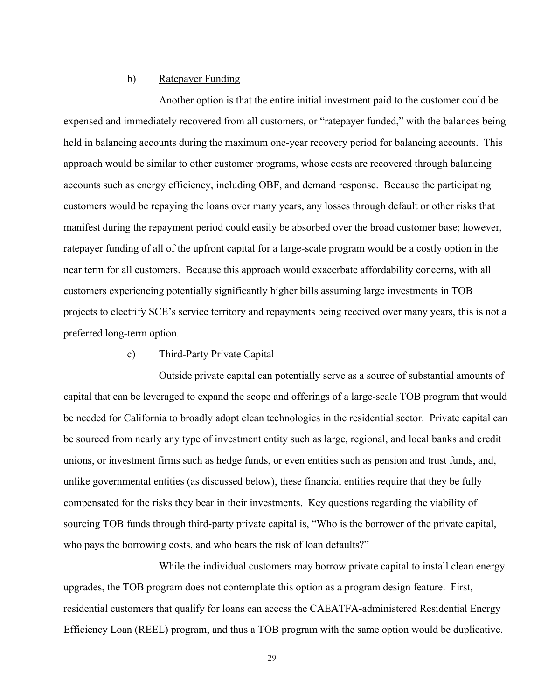#### b) Ratepayer Funding

Another option is that the entire initial investment paid to the customer could be expensed and immediately recovered from all customers, or "ratepayer funded," with the balances being held in balancing accounts during the maximum one-year recovery period for balancing accounts. This approach would be similar to other customer programs, whose costs are recovered through balancing accounts such as energy efficiency, including OBF, and demand response. Because the participating customers would be repaying the loans over many years, any losses through default or other risks that manifest during the repayment period could easily be absorbed over the broad customer base; however, ratepayer funding of all of the upfront capital for a large-scale program would be a costly option in the near term for all customers. Because this approach would exacerbate affordability concerns, with all customers experiencing potentially significantly higher bills assuming large investments in TOB projects to electrify SCE's service territory and repayments being received over many years, this is not a preferred long-term option.

#### c) Third-Party Private Capital

Outside private capital can potentially serve as a source of substantial amounts of capital that can be leveraged to expand the scope and offerings of a large-scale TOB program that would be needed for California to broadly adopt clean technologies in the residential sector. Private capital can be sourced from nearly any type of investment entity such as large, regional, and local banks and credit unions, or investment firms such as hedge funds, or even entities such as pension and trust funds, and, unlike governmental entities (as discussed below), these financial entities require that they be fully compensated for the risks they bear in their investments. Key questions regarding the viability of sourcing TOB funds through third-party private capital is, "Who is the borrower of the private capital, who pays the borrowing costs, and who bears the risk of loan defaults?"

While the individual customers may borrow private capital to install clean energy upgrades, the TOB program does not contemplate this option as a program design feature. First, residential customers that qualify for loans can access the CAEATFA-administered Residential Energy Efficiency Loan (REEL) program, and thus a TOB program with the same option would be duplicative.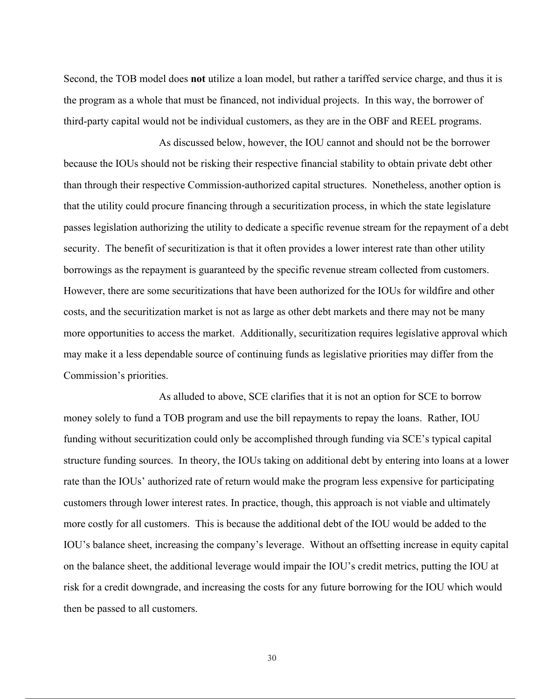Second, the TOB model does **not** utilize a loan model, but rather a tariffed service charge, and thus it is the program as a whole that must be financed, not individual projects. In this way, the borrower of third-party capital would not be individual customers, as they are in the OBF and REEL programs.

As discussed below, however, the IOU cannot and should not be the borrower because the IOUs should not be risking their respective financial stability to obtain private debt other than through their respective Commission-authorized capital structures. Nonetheless, another option is that the utility could procure financing through a securitization process, in which the state legislature passes legislation authorizing the utility to dedicate a specific revenue stream for the repayment of a debt security. The benefit of securitization is that it often provides a lower interest rate than other utility borrowings as the repayment is guaranteed by the specific revenue stream collected from customers. However, there are some securitizations that have been authorized for the IOUs for wildfire and other costs, and the securitization market is not as large as other debt markets and there may not be many more opportunities to access the market. Additionally, securitization requires legislative approval which may make it a less dependable source of continuing funds as legislative priorities may differ from the Commission's priorities.

As alluded to above, SCE clarifies that it is not an option for SCE to borrow money solely to fund a TOB program and use the bill repayments to repay the loans. Rather, IOU funding without securitization could only be accomplished through funding via SCE's typical capital structure funding sources. In theory, the IOUs taking on additional debt by entering into loans at a lower rate than the IOUs' authorized rate of return would make the program less expensive for participating customers through lower interest rates. In practice, though, this approach is not viable and ultimately more costly for all customers. This is because the additional debt of the IOU would be added to the IOU's balance sheet, increasing the company's leverage. Without an offsetting increase in equity capital on the balance sheet, the additional leverage would impair the IOU's credit metrics, putting the IOU at risk for a credit downgrade, and increasing the costs for any future borrowing for the IOU which would then be passed to all customers.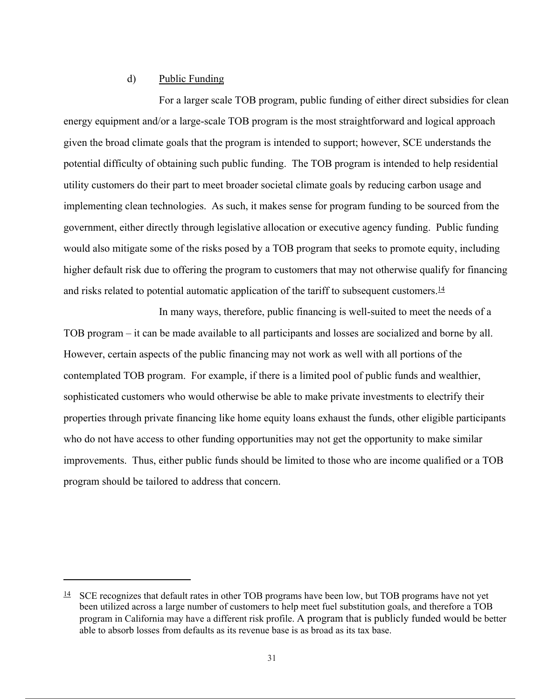### d) Public Funding

For a larger scale TOB program, public funding of either direct subsidies for clean energy equipment and/or a large-scale TOB program is the most straightforward and logical approach given the broad climate goals that the program is intended to support; however, SCE understands the potential difficulty of obtaining such public funding. The TOB program is intended to help residential utility customers do their part to meet broader societal climate goals by reducing carbon usage and implementing clean technologies. As such, it makes sense for program funding to be sourced from the government, either directly through legislative allocation or executive agency funding. Public funding would also mitigate some of the risks posed by a TOB program that seeks to promote equity, including higher default risk due to offering the program to customers that may not otherwise qualify for financing and risks related to potential automatic application of the tariff to subsequent customers. $\frac{14}{1}$ 

In many ways, therefore, public financing is well-suited to meet the needs of a TOB program – it can be made available to all participants and losses are socialized and borne by all. However, certain aspects of the public financing may not work as well with all portions of the contemplated TOB program. For example, if there is a limited pool of public funds and wealthier, sophisticated customers who would otherwise be able to make private investments to electrify their properties through private financing like home equity loans exhaust the funds, other eligible participants who do not have access to other funding opportunities may not get the opportunity to make similar improvements. Thus, either public funds should be limited to those who are income qualified or a TOB program should be tailored to address that concern.

 $\frac{14}{1}$  SCE recognizes that default rates in other TOB programs have been low, but TOB programs have not yet been utilized across a large number of customers to help meet fuel substitution goals, and therefore a TOB program in California may have a different risk profile. A program that is publicly funded would be better able to absorb losses from defaults as its revenue base is as broad as its tax base.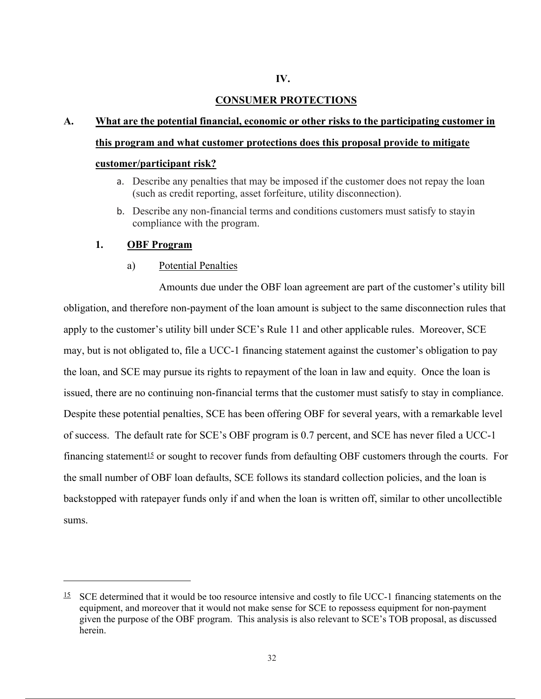#### **IV.**

#### **CONSUMER PROTECTIONS**

## **A. What are the potential financial, economic or other risks to the participating customer in this program and what customer protections does this proposal provide to mitigate**

#### **customer/participant risk?**

- a. Describe any penalties that may be imposed if the customer does not repay the loan (such as credit reporting, asset forfeiture, utility disconnection).
- b. Describe any non-financial terms and conditions customers must satisfy to stay in compliance with the program.

#### **1. OBF Program**

#### a) Potential Penalties

Amounts due under the OBF loan agreement are part of the customer's utility bill obligation, and therefore non-payment of the loan amount is subject to the same disconnection rules that apply to the customer's utility bill under SCE's Rule 11 and other applicable rules. Moreover, SCE may, but is not obligated to, file a UCC-1 financing statement against the customer's obligation to pay the loan, and SCE may pursue its rights to repayment of the loan in law and equity. Once the loan is issued, there are no continuing non-financial terms that the customer must satisfy to stay in compliance. Despite these potential penalties, SCE has been offering OBF for several years, with a remarkable level of success. The default rate for SCE's OBF program is 0.7 percent, and SCE has never filed a UCC-1 financing statement<sup>15</sup> or sought to recover funds from defaulting OBF customers through the courts. For the small number of OBF loan defaults, SCE follows its standard collection policies, and the loan is backstopped with ratepayer funds only if and when the loan is written off, similar to other uncollectible sums.

 $15$  SCE determined that it would be too resource intensive and costly to file UCC-1 financing statements on the equipment, and moreover that it would not make sense for SCE to repossess equipment for non-payment given the purpose of the OBF program. This analysis is also relevant to SCE's TOB proposal, as discussed herein.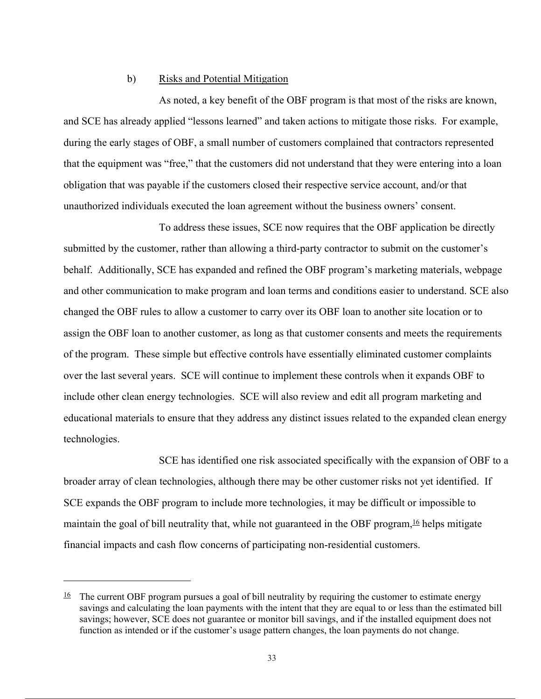#### b) Risks and Potential Mitigation

As noted, a key benefit of the OBF program is that most of the risks are known, and SCE has already applied "lessons learned" and taken actions to mitigate those risks. For example, during the early stages of OBF, a small number of customers complained that contractors represented that the equipment was "free," that the customers did not understand that they were entering into a loan obligation that was payable if the customers closed their respective service account, and/or that unauthorized individuals executed the loan agreement without the business owners' consent.

To address these issues, SCE now requires that the OBF application be directly submitted by the customer, rather than allowing a third-party contractor to submit on the customer's behalf. Additionally, SCE has expanded and refined the OBF program's marketing materials, webpage and other communication to make program and loan terms and conditions easier to understand. SCE also changed the OBF rules to allow a customer to carry over its OBF loan to another site location or to assign the OBF loan to another customer, as long as that customer consents and meets the requirements of the program. These simple but effective controls have essentially eliminated customer complaints over the last several years. SCE will continue to implement these controls when it expands OBF to include other clean energy technologies. SCE will also review and edit all program marketing and educational materials to ensure that they address any distinct issues related to the expanded clean energy technologies.

SCE has identified one risk associated specifically with the expansion of OBF to a broader array of clean technologies, although there may be other customer risks not yet identified. If SCE expands the OBF program to include more technologies, it may be difficult or impossible to maintain the goal of bill neutrality that, while not guaranteed in the OBF program,  $16$  helps mitigate financial impacts and cash flow concerns of participating non-residential customers.

 $\frac{16}{10}$  The current OBF program pursues a goal of bill neutrality by requiring the customer to estimate energy savings and calculating the loan payments with the intent that they are equal to or less than the estimated bill savings; however, SCE does not guarantee or monitor bill savings, and if the installed equipment does not function as intended or if the customer's usage pattern changes, the loan payments do not change.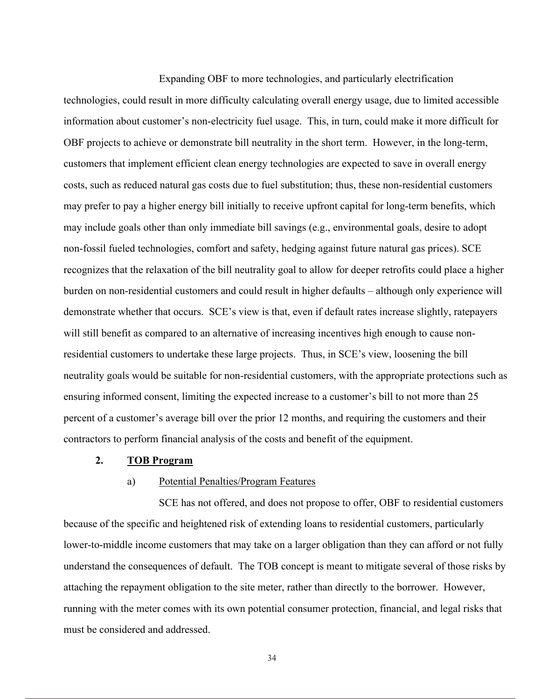Expanding OBF to more technologies, and particularly electrification

technologies, could result in more difficulty calculating overall energy usage, due to limited accessible information about customer's non-electricity fuel usage. This, in turn, could make it more difficult for OBF projects to achieve or demonstrate bill neutrality in the short term. However, in the long-term, customers that implement efficient clean energy technologies are expected to save in overall energy costs, such as reduced natural gas costs due to fuel substitution; thus, these non-residential customers may prefer to pay a higher energy bill initially to receive upfront capital for long-term benefits, which may include goals other than only immediate bill savings (e.g., environmental goals, desire to adopt non-fossil fueled technologies, comfort and safety, hedging against future natural gas prices). SCE recognizes that the relaxation of the bill neutrality goal to allow for deeper retrofits could place a higher burden on non-residential customers and could result in higher defaults – although only experience will demonstrate whether that occurs. SCE's view is that, even if default rates increase slightly, ratepayers will still benefit as compared to an alternative of increasing incentives high enough to cause nonresidential customers to undertake these large projects. Thus, in SCE's view, loosening the bill neutrality goals would be suitable for non-residential customers, with the appropriate protections such as ensuring informed consent, limiting the expected increase to a customer's bill to not more than 25 percent of a customer's average bill over the prior 12 months, and requiring the customers and their contractors to perform financial analysis of the costs and benefit of the equipment.

#### **2. TOB Program**

#### a) Potential Penalties/Program Features

SCE has not offered, and does not propose to offer, OBF to residential customers because of the specific and heightened risk of extending loans to residential customers, particularly lower-to-middle income customers that may take on a larger obligation than they can afford or not fully understand the consequences of default. The TOB concept is meant to mitigate several of those risks by attaching the repayment obligation to the site meter, rather than directly to the borrower. However, running with the meter comes with its own potential consumer protection, financial, and legal risks that must be considered and addressed.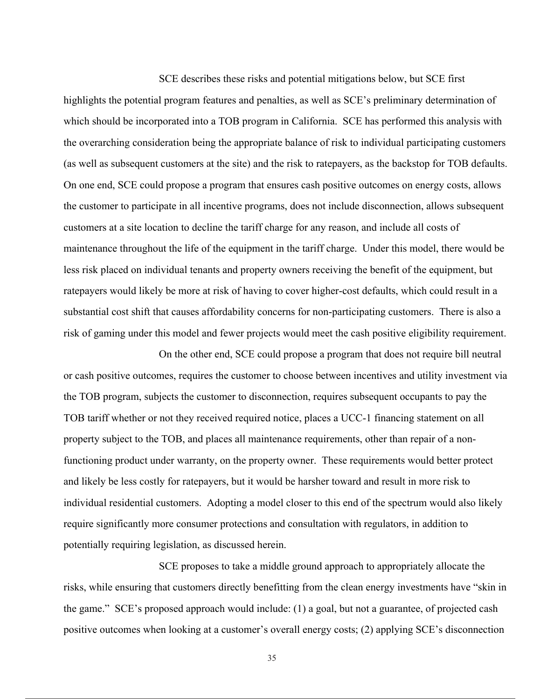SCE describes these risks and potential mitigations below, but SCE first

highlights the potential program features and penalties, as well as SCE's preliminary determination of which should be incorporated into a TOB program in California. SCE has performed this analysis with the overarching consideration being the appropriate balance of risk to individual participating customers (as well as subsequent customers at the site) and the risk to ratepayers, as the backstop for TOB defaults. On one end, SCE could propose a program that ensures cash positive outcomes on energy costs, allows the customer to participate in all incentive programs, does not include disconnection, allows subsequent customers at a site location to decline the tariff charge for any reason, and include all costs of maintenance throughout the life of the equipment in the tariff charge. Under this model, there would be less risk placed on individual tenants and property owners receiving the benefit of the equipment, but ratepayers would likely be more at risk of having to cover higher-cost defaults, which could result in a substantial cost shift that causes affordability concerns for non-participating customers. There is also a risk of gaming under this model and fewer projects would meet the cash positive eligibility requirement.

On the other end, SCE could propose a program that does not require bill neutral or cash positive outcomes, requires the customer to choose between incentives and utility investment via the TOB program, subjects the customer to disconnection, requires subsequent occupants to pay the TOB tariff whether or not they received required notice, places a UCC-1 financing statement on all property subject to the TOB, and places all maintenance requirements, other than repair of a nonfunctioning product under warranty, on the property owner. These requirements would better protect and likely be less costly for ratepayers, but it would be harsher toward and result in more risk to individual residential customers. Adopting a model closer to this end of the spectrum would also likely require significantly more consumer protections and consultation with regulators, in addition to potentially requiring legislation, as discussed herein.

SCE proposes to take a middle ground approach to appropriately allocate the risks, while ensuring that customers directly benefitting from the clean energy investments have "skin in the game." SCE's proposed approach would include: (1) a goal, but not a guarantee, of projected cash positive outcomes when looking at a customer's overall energy costs; (2) applying SCE's disconnection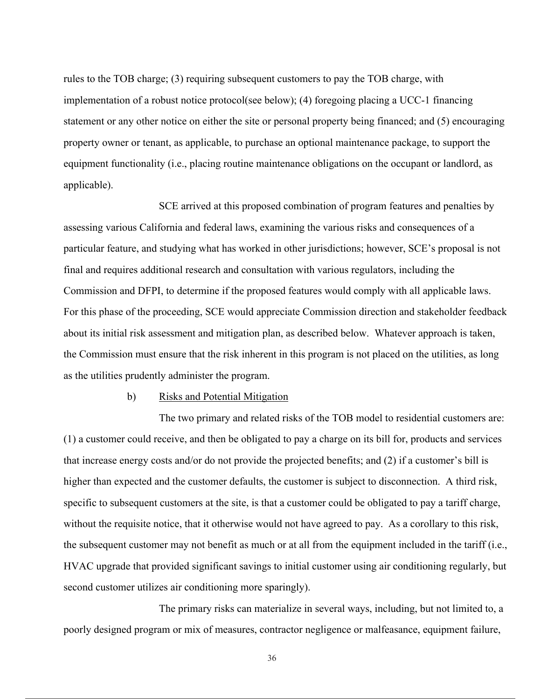rules to the TOB charge; (3) requiring subsequent customers to pay the TOB charge, with implementation of a robust notice protocol(see below); (4) foregoing placing a UCC-1 financing statement or any other notice on either the site or personal property being financed; and (5) encouraging property owner or tenant, as applicable, to purchase an optional maintenance package, to support the equipment functionality (i.e., placing routine maintenance obligations on the occupant or landlord, as applicable).

SCE arrived at this proposed combination of program features and penalties by assessing various California and federal laws, examining the various risks and consequences of a particular feature, and studying what has worked in other jurisdictions; however, SCE's proposal is not final and requires additional research and consultation with various regulators, including the Commission and DFPI, to determine if the proposed features would comply with all applicable laws. For this phase of the proceeding, SCE would appreciate Commission direction and stakeholder feedback about its initial risk assessment and mitigation plan, as described below. Whatever approach is taken, the Commission must ensure that the risk inherent in this program is not placed on the utilities, as long as the utilities prudently administer the program.

#### b) Risks and Potential Mitigation

The two primary and related risks of the TOB model to residential customers are: (1) a customer could receive, and then be obligated to pay a charge on its bill for, products and services that increase energy costs and/or do not provide the projected benefits; and (2) if a customer's bill is higher than expected and the customer defaults, the customer is subject to disconnection. A third risk, specific to subsequent customers at the site, is that a customer could be obligated to pay a tariff charge, without the requisite notice, that it otherwise would not have agreed to pay. As a corollary to this risk, the subsequent customer may not benefit as much or at all from the equipment included in the tariff (i.e., HVAC upgrade that provided significant savings to initial customer using air conditioning regularly, but second customer utilizes air conditioning more sparingly).

The primary risks can materialize in several ways, including, but not limited to, a poorly designed program or mix of measures, contractor negligence or malfeasance, equipment failure,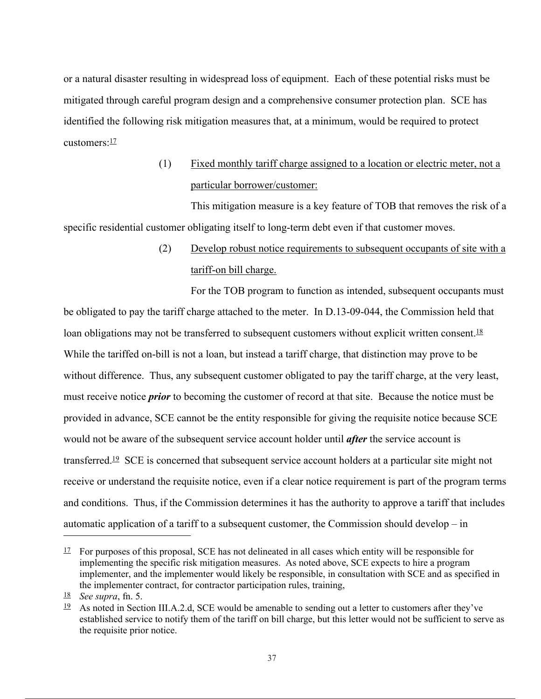or a natural disaster resulting in widespread loss of equipment. Each of these potential risks must be mitigated through careful program design and a comprehensive consumer protection plan. SCE has identified the following risk mitigation measures that, at a minimum, would be required to protect customers:<sup>17</sup>

## (1) Fixed monthly tariff charge assigned to a location or electric meter, not a particular borrower/customer:

This mitigation measure is a key feature of TOB that removes the risk of a specific residential customer obligating itself to long-term debt even if that customer moves.

## (2) Develop robust notice requirements to subsequent occupants of site with a tariff-on bill charge.

For the TOB program to function as intended, subsequent occupants must be obligated to pay the tariff charge attached to the meter. In D.13-09-044, the Commission held that loan obligations may not be transferred to subsequent customers without explicit written consent.<sup>18</sup> While the tariffed on-bill is not a loan, but instead a tariff charge, that distinction may prove to be without difference. Thus, any subsequent customer obligated to pay the tariff charge, at the very least, must receive notice *prior* to becoming the customer of record at that site. Because the notice must be provided in advance, SCE cannot be the entity responsible for giving the requisite notice because SCE would not be aware of the subsequent service account holder until *after* the service account is transferred.19 SCE is concerned that subsequent service account holders at a particular site might not receive or understand the requisite notice, even if a clear notice requirement is part of the program terms and conditions. Thus, if the Commission determines it has the authority to approve a tariff that includes automatic application of a tariff to a subsequent customer, the Commission should develop – in

 $\frac{17}{12}$  For purposes of this proposal, SCE has not delineated in all cases which entity will be responsible for implementing the specific risk mitigation measures. As noted above, SCE expects to hire a program implementer, and the implementer would likely be responsible, in consultation with SCE and as specified in the implementer contract, for contractor participation rules, training,

<sup>18</sup> *See supra*, fn. 5.

<sup>&</sup>lt;sup>19</sup> As noted in Section III.A.2.d, SCE would be amenable to sending out a letter to customers after they've established service to notify them of the tariff on bill charge, but this letter would not be sufficient to serve as the requisite prior notice.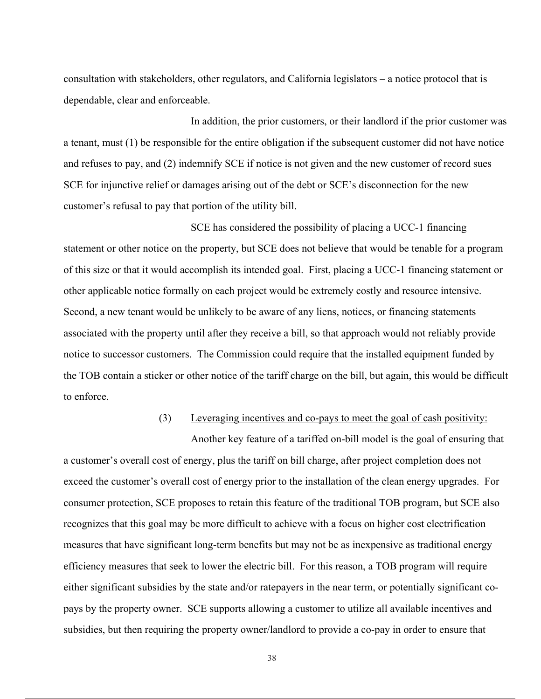consultation with stakeholders, other regulators, and California legislators – a notice protocol that is dependable, clear and enforceable.

In addition, the prior customers, or their landlord if the prior customer was a tenant, must (1) be responsible for the entire obligation if the subsequent customer did not have notice and refuses to pay, and (2) indemnify SCE if notice is not given and the new customer of record sues SCE for injunctive relief or damages arising out of the debt or SCE's disconnection for the new customer's refusal to pay that portion of the utility bill.

SCE has considered the possibility of placing a UCC-1 financing statement or other notice on the property, but SCE does not believe that would be tenable for a program of this size or that it would accomplish its intended goal. First, placing a UCC-1 financing statement or other applicable notice formally on each project would be extremely costly and resource intensive. Second, a new tenant would be unlikely to be aware of any liens, notices, or financing statements associated with the property until after they receive a bill, so that approach would not reliably provide notice to successor customers. The Commission could require that the installed equipment funded by the TOB contain a sticker or other notice of the tariff charge on the bill, but again, this would be difficult to enforce.

## (3) Leveraging incentives and co-pays to meet the goal of cash positivity:

Another key feature of a tariffed on-bill model is the goal of ensuring that a customer's overall cost of energy, plus the tariff on bill charge, after project completion does not exceed the customer's overall cost of energy prior to the installation of the clean energy upgrades. For consumer protection, SCE proposes to retain this feature of the traditional TOB program, but SCE also recognizes that this goal may be more difficult to achieve with a focus on higher cost electrification measures that have significant long-term benefits but may not be as inexpensive as traditional energy efficiency measures that seek to lower the electric bill. For this reason, a TOB program will require either significant subsidies by the state and/or ratepayers in the near term, or potentially significant copays by the property owner. SCE supports allowing a customer to utilize all available incentives and subsidies, but then requiring the property owner/landlord to provide a co-pay in order to ensure that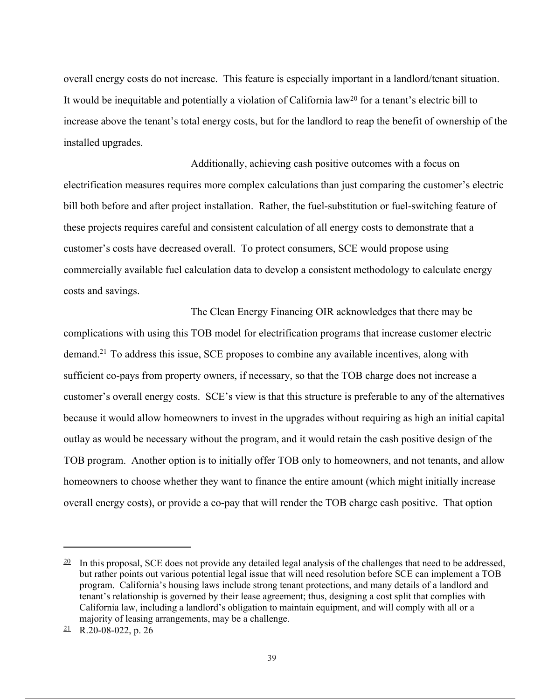overall energy costs do not increase. This feature is especially important in a landlord/tenant situation. It would be inequitable and potentially a violation of California law20 for a tenant's electric bill to increase above the tenant's total energy costs, but for the landlord to reap the benefit of ownership of the installed upgrades.

Additionally, achieving cash positive outcomes with a focus on electrification measures requires more complex calculations than just comparing the customer's electric bill both before and after project installation. Rather, the fuel-substitution or fuel-switching feature of these projects requires careful and consistent calculation of all energy costs to demonstrate that a customer's costs have decreased overall. To protect consumers, SCE would propose using commercially available fuel calculation data to develop a consistent methodology to calculate energy costs and savings.

The Clean Energy Financing OIR acknowledges that there may be complications with using this TOB model for electrification programs that increase customer electric demand.<sup>21</sup> To address this issue, SCE proposes to combine any available incentives, along with sufficient co-pays from property owners, if necessary, so that the TOB charge does not increase a customer's overall energy costs. SCE's view is that this structure is preferable to any of the alternatives because it would allow homeowners to invest in the upgrades without requiring as high an initial capital outlay as would be necessary without the program, and it would retain the cash positive design of the TOB program. Another option is to initially offer TOB only to homeowners, and not tenants, and allow homeowners to choose whether they want to finance the entire amount (which might initially increase overall energy costs), or provide a co-pay that will render the TOB charge cash positive. That option

 $\frac{20}{10}$  In this proposal, SCE does not provide any detailed legal analysis of the challenges that need to be addressed, but rather points out various potential legal issue that will need resolution before SCE can implement a TOB program. California's housing laws include strong tenant protections, and many details of a landlord and tenant's relationship is governed by their lease agreement; thus, designing a cost split that complies with California law, including a landlord's obligation to maintain equipment, and will comply with all or a majority of leasing arrangements, may be a challenge.

 $21$  R.20-08-022, p. 26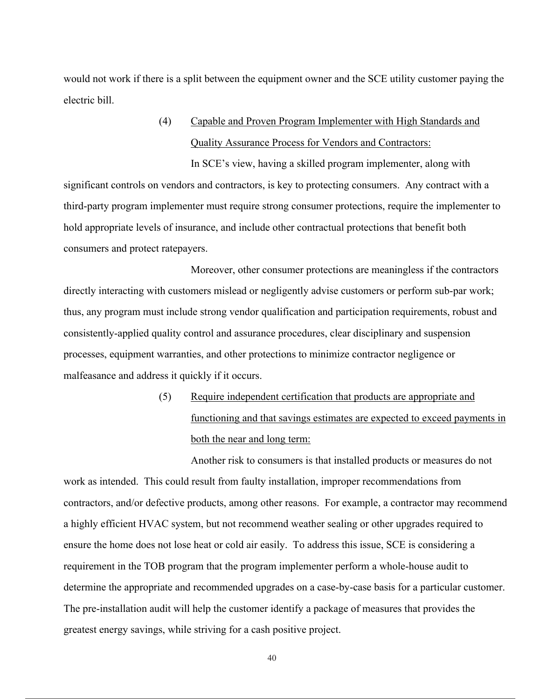would not work if there is a split between the equipment owner and the SCE utility customer paying the electric bill.

> (4) Capable and Proven Program Implementer with High Standards and Quality Assurance Process for Vendors and Contractors:

In SCE's view, having a skilled program implementer, along with significant controls on vendors and contractors, is key to protecting consumers. Any contract with a third-party program implementer must require strong consumer protections, require the implementer to hold appropriate levels of insurance, and include other contractual protections that benefit both consumers and protect ratepayers.

Moreover, other consumer protections are meaningless if the contractors directly interacting with customers mislead or negligently advise customers or perform sub-par work; thus, any program must include strong vendor qualification and participation requirements, robust and consistently-applied quality control and assurance procedures, clear disciplinary and suspension processes, equipment warranties, and other protections to minimize contractor negligence or malfeasance and address it quickly if it occurs.

> (5) Require independent certification that products are appropriate and functioning and that savings estimates are expected to exceed payments in both the near and long term:

Another risk to consumers is that installed products or measures do not work as intended. This could result from faulty installation, improper recommendations from contractors, and/or defective products, among other reasons. For example, a contractor may recommend a highly efficient HVAC system, but not recommend weather sealing or other upgrades required to ensure the home does not lose heat or cold air easily. To address this issue, SCE is considering a requirement in the TOB program that the program implementer perform a whole-house audit to determine the appropriate and recommended upgrades on a case-by-case basis for a particular customer. The pre-installation audit will help the customer identify a package of measures that provides the greatest energy savings, while striving for a cash positive project.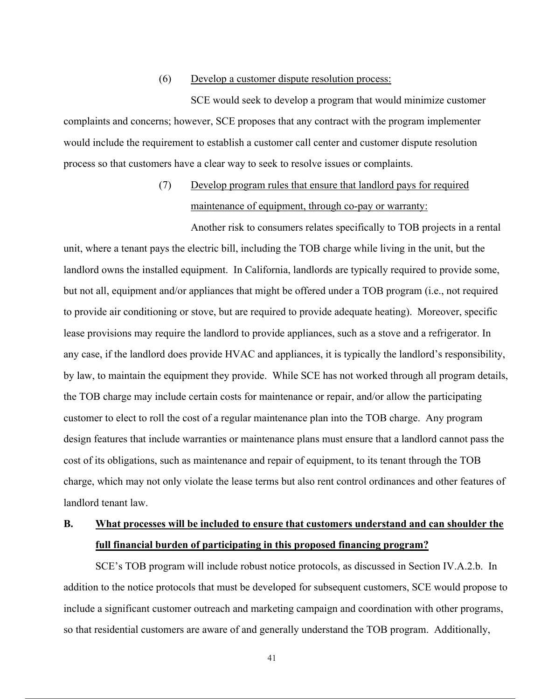#### (6) Develop a customer dispute resolution process:

SCE would seek to develop a program that would minimize customer complaints and concerns; however, SCE proposes that any contract with the program implementer would include the requirement to establish a customer call center and customer dispute resolution process so that customers have a clear way to seek to resolve issues or complaints.

# (7) Develop program rules that ensure that landlord pays for required maintenance of equipment, through co-pay or warranty:

Another risk to consumers relates specifically to TOB projects in a rental unit, where a tenant pays the electric bill, including the TOB charge while living in the unit, but the landlord owns the installed equipment. In California, landlords are typically required to provide some, but not all, equipment and/or appliances that might be offered under a TOB program (i.e., not required to provide air conditioning or stove, but are required to provide adequate heating). Moreover, specific lease provisions may require the landlord to provide appliances, such as a stove and a refrigerator. In any case, if the landlord does provide HVAC and appliances, it is typically the landlord's responsibility, by law, to maintain the equipment they provide. While SCE has not worked through all program details, the TOB charge may include certain costs for maintenance or repair, and/or allow the participating customer to elect to roll the cost of a regular maintenance plan into the TOB charge. Any program design features that include warranties or maintenance plans must ensure that a landlord cannot pass the cost of its obligations, such as maintenance and repair of equipment, to its tenant through the TOB charge, which may not only violate the lease terms but also rent control ordinances and other features of landlord tenant law.

# **B. What processes will be included to ensure that customers understand and can shoulder the full financial burden of participating in this proposed financing program?**

SCE's TOB program will include robust notice protocols, as discussed in Section IV.A.2.b. In addition to the notice protocols that must be developed for subsequent customers, SCE would propose to include a significant customer outreach and marketing campaign and coordination with other programs, so that residential customers are aware of and generally understand the TOB program. Additionally,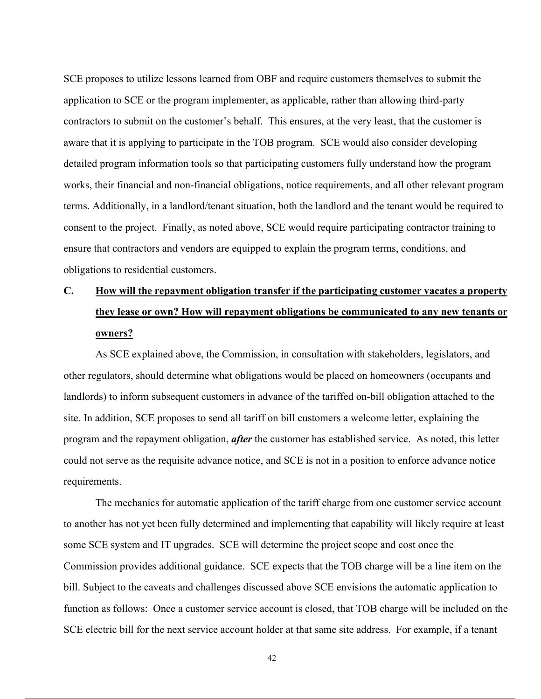SCE proposes to utilize lessons learned from OBF and require customers themselves to submit the application to SCE or the program implementer, as applicable, rather than allowing third-party contractors to submit on the customer's behalf. This ensures, at the very least, that the customer is aware that it is applying to participate in the TOB program. SCE would also consider developing detailed program information tools so that participating customers fully understand how the program works, their financial and non-financial obligations, notice requirements, and all other relevant program terms. Additionally, in a landlord/tenant situation, both the landlord and the tenant would be required to consent to the project. Finally, as noted above, SCE would require participating contractor training to ensure that contractors and vendors are equipped to explain the program terms, conditions, and obligations to residential customers.

# **C. How will the repayment obligation transfer if the participating customer vacates a property they lease or own? How will repayment obligations be communicated to any new tenants or owners?**

As SCE explained above, the Commission, in consultation with stakeholders, legislators, and other regulators, should determine what obligations would be placed on homeowners (occupants and landlords) to inform subsequent customers in advance of the tariffed on-bill obligation attached to the site. In addition, SCE proposes to send all tariff on bill customers a welcome letter, explaining the program and the repayment obligation, *after* the customer has established service. As noted, this letter could not serve as the requisite advance notice, and SCE is not in a position to enforce advance notice requirements.

The mechanics for automatic application of the tariff charge from one customer service account to another has not yet been fully determined and implementing that capability will likely require at least some SCE system and IT upgrades. SCE will determine the project scope and cost once the Commission provides additional guidance. SCE expects that the TOB charge will be a line item on the bill. Subject to the caveats and challenges discussed above SCE envisions the automatic application to function as follows: Once a customer service account is closed, that TOB charge will be included on the SCE electric bill for the next service account holder at that same site address. For example, if a tenant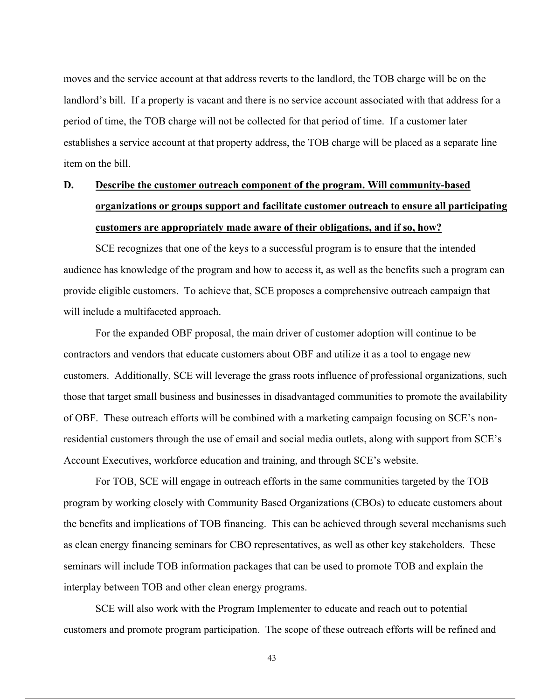moves and the service account at that address reverts to the landlord, the TOB charge will be on the landlord's bill. If a property is vacant and there is no service account associated with that address for a period of time, the TOB charge will not be collected for that period of time. If a customer later establishes a service account at that property address, the TOB charge will be placed as a separate line item on the bill.

# **D. Describe the customer outreach component of the program. Will community-based organizations or groups support and facilitate customer outreach to ensure all participating customers are appropriately made aware of their obligations, and if so, how?**

SCE recognizes that one of the keys to a successful program is to ensure that the intended audience has knowledge of the program and how to access it, as well as the benefits such a program can provide eligible customers. To achieve that, SCE proposes a comprehensive outreach campaign that will include a multifaceted approach.

For the expanded OBF proposal, the main driver of customer adoption will continue to be contractors and vendors that educate customers about OBF and utilize it as a tool to engage new customers. Additionally, SCE will leverage the grass roots influence of professional organizations, such those that target small business and businesses in disadvantaged communities to promote the availability of OBF. These outreach efforts will be combined with a marketing campaign focusing on SCE's nonresidential customers through the use of email and social media outlets, along with support from SCE's Account Executives, workforce education and training, and through SCE's website.

For TOB, SCE will engage in outreach efforts in the same communities targeted by the TOB program by working closely with Community Based Organizations (CBOs) to educate customers about the benefits and implications of TOB financing. This can be achieved through several mechanisms such as clean energy financing seminars for CBO representatives, as well as other key stakeholders. These seminars will include TOB information packages that can be used to promote TOB and explain the interplay between TOB and other clean energy programs.

SCE will also work with the Program Implementer to educate and reach out to potential customers and promote program participation. The scope of these outreach efforts will be refined and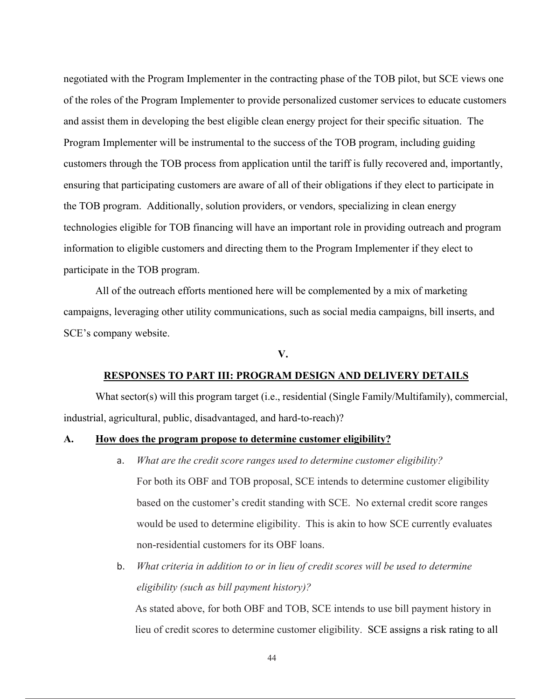negotiated with the Program Implementer in the contracting phase of the TOB pilot, but SCE views one of the roles of the Program Implementer to provide personalized customer services to educate customers and assist them in developing the best eligible clean energy project for their specific situation. The Program Implementer will be instrumental to the success of the TOB program, including guiding customers through the TOB process from application until the tariff is fully recovered and, importantly, ensuring that participating customers are aware of all of their obligations if they elect to participate in the TOB program. Additionally, solution providers, or vendors, specializing in clean energy technologies eligible for TOB financing will have an important role in providing outreach and program information to eligible customers and directing them to the Program Implementer if they elect to participate in the TOB program.

All of the outreach efforts mentioned here will be complemented by a mix of marketing campaigns, leveraging other utility communications, such as social media campaigns, bill inserts, and SCE's company website.

### **V.**

#### **RESPONSES TO PART III: PROGRAM DESIGN AND DELIVERY DETAILS**

What sector(s) will this program target (i.e., residential (Single Family/Multifamily), commercial, industrial, agricultural, public, disadvantaged, and hard-to-reach)?

#### **A. How does the program propose to determine customer eligibility?**

- a. *What are the credit score ranges used to determine customer eligibility?* For both its OBF and TOB proposal, SCE intends to determine customer eligibility based on the customer's credit standing with SCE. No external credit score ranges would be used to determine eligibility. This is akin to how SCE currently evaluates non-residential customers for its OBF loans.
- b. *What criteria in addition to or in lieu of credit scores will be used to determine eligibility (such as bill payment history)?*

As stated above, for both OBF and TOB, SCE intends to use bill payment history in lieu of credit scores to determine customer eligibility. SCE assigns a risk rating to all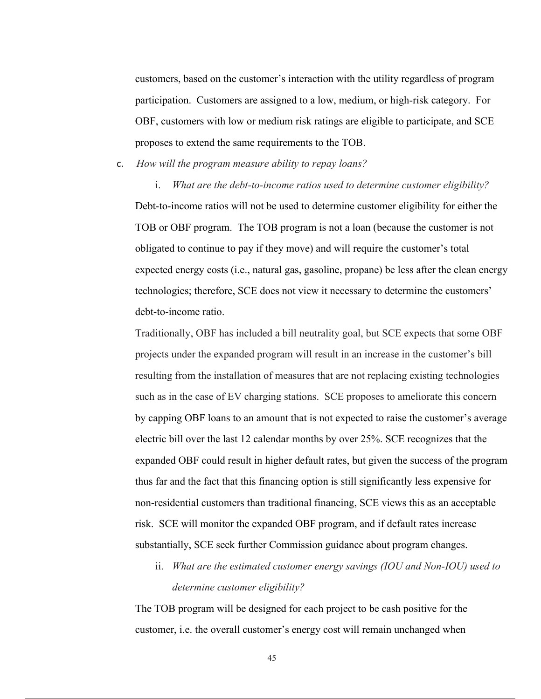customers, based on the customer's interaction with the utility regardless of program participation. Customers are assigned to a low, medium, or high-risk category. For OBF, customers with low or medium risk ratings are eligible to participate, and SCE proposes to extend the same requirements to the TOB.

c. *How will the program measure ability to repay loans?*

i. *What are the debt-to-income ratios used to determine customer eligibility?*  Debt-to-income ratios will not be used to determine customer eligibility for either the TOB or OBF program. The TOB program is not a loan (because the customer is not obligated to continue to pay if they move) and will require the customer's total expected energy costs (i.e., natural gas, gasoline, propane) be less after the clean energy technologies; therefore, SCE does not view it necessary to determine the customers' debt-to-income ratio.

Traditionally, OBF has included a bill neutrality goal, but SCE expects that some OBF projects under the expanded program will result in an increase in the customer's bill resulting from the installation of measures that are not replacing existing technologies such as in the case of EV charging stations. SCE proposes to ameliorate this concern by capping OBF loans to an amount that is not expected to raise the customer's average electric bill over the last 12 calendar months by over 25%. SCE recognizes that the expanded OBF could result in higher default rates, but given the success of the program thus far and the fact that this financing option is still significantly less expensive for non-residential customers than traditional financing, SCE views this as an acceptable risk. SCE will monitor the expanded OBF program, and if default rates increase substantially, SCE seek further Commission guidance about program changes.

ii. *What are the estimated customer energy savings (IOU and Non-IOU) used to determine customer eligibility?* 

The TOB program will be designed for each project to be cash positive for the customer, i.e. the overall customer's energy cost will remain unchanged when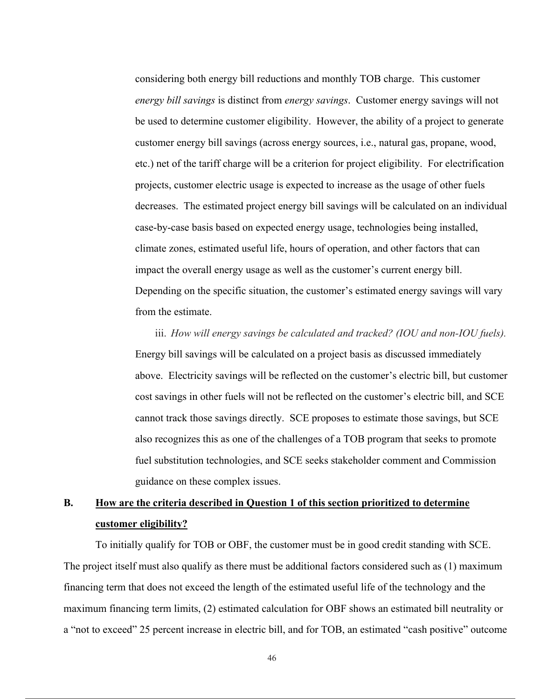considering both energy bill reductions and monthly TOB charge. This customer *energy bill savings* is distinct from *energy savings*. Customer energy savings will not be used to determine customer eligibility. However, the ability of a project to generate customer energy bill savings (across energy sources, i.e., natural gas, propane, wood, etc.) net of the tariff charge will be a criterion for project eligibility. For electrification projects, customer electric usage is expected to increase as the usage of other fuels decreases. The estimated project energy bill savings will be calculated on an individual case-by-case basis based on expected energy usage, technologies being installed, climate zones, estimated useful life, hours of operation, and other factors that can impact the overall energy usage as well as the customer's current energy bill. Depending on the specific situation, the customer's estimated energy savings will vary from the estimate.

iii. *How will energy savings be calculated and tracked? (IOU and non-IOU fuels).*  Energy bill savings will be calculated on a project basis as discussed immediately above. Electricity savings will be reflected on the customer's electric bill, but customer cost savings in other fuels will not be reflected on the customer's electric bill, and SCE cannot track those savings directly. SCE proposes to estimate those savings, but SCE also recognizes this as one of the challenges of a TOB program that seeks to promote fuel substitution technologies, and SCE seeks stakeholder comment and Commission guidance on these complex issues.

# **B. How are the criteria described in Question 1 of this section prioritized to determine customer eligibility?**

To initially qualify for TOB or OBF, the customer must be in good credit standing with SCE. The project itself must also qualify as there must be additional factors considered such as (1) maximum financing term that does not exceed the length of the estimated useful life of the technology and the maximum financing term limits, (2) estimated calculation for OBF shows an estimated bill neutrality or a "not to exceed" 25 percent increase in electric bill, and for TOB, an estimated "cash positive" outcome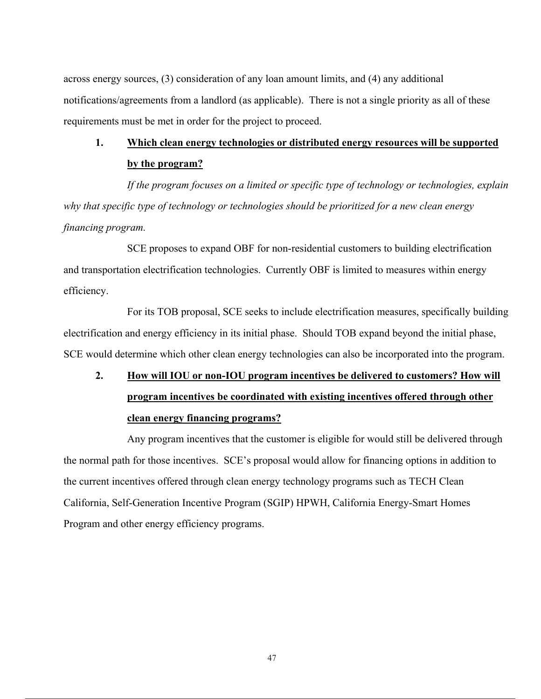across energy sources, (3) consideration of any loan amount limits, and (4) any additional notifications/agreements from a landlord (as applicable). There is not a single priority as all of these requirements must be met in order for the project to proceed.

## **1. Which clean energy technologies or distributed energy resources will be supported by the program?**

*If the program focuses on a limited or specific type of technology or technologies, explain why that specific type of technology or technologies should be prioritized for a new clean energy financing program.* 

SCE proposes to expand OBF for non-residential customers to building electrification and transportation electrification technologies. Currently OBF is limited to measures within energy efficiency.

For its TOB proposal, SCE seeks to include electrification measures, specifically building electrification and energy efficiency in its initial phase. Should TOB expand beyond the initial phase, SCE would determine which other clean energy technologies can also be incorporated into the program.

# **2. How will IOU or non-IOU program incentives be delivered to customers? How will program incentives be coordinated with existing incentives offered through other clean energy financing programs?**

Any program incentives that the customer is eligible for would still be delivered through the normal path for those incentives. SCE's proposal would allow for financing options in addition to the current incentives offered through clean energy technology programs such as TECH Clean California, Self-Generation Incentive Program (SGIP) HPWH, California Energy-Smart Homes Program and other energy efficiency programs.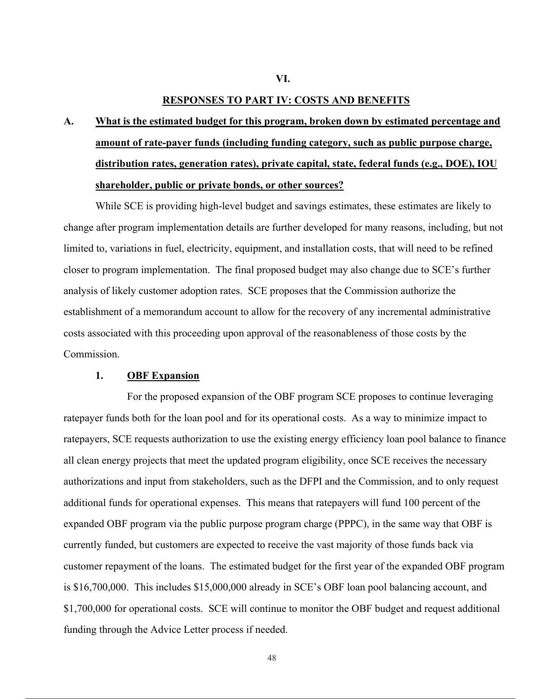#### **RESPONSES TO PART IV: COSTS AND BENEFITS**

**A. What is the estimated budget for this program, broken down by estimated percentage and amount of rate-payer funds (including funding category, such as public purpose charge, distribution rates, generation rates), private capital, state, federal funds (e.g., DOE), IOU shareholder, public or private bonds, or other sources?** 

While SCE is providing high-level budget and savings estimates, these estimates are likely to change after program implementation details are further developed for many reasons, including, but not limited to, variations in fuel, electricity, equipment, and installation costs, that will need to be refined closer to program implementation. The final proposed budget may also change due to SCE's further analysis of likely customer adoption rates. SCE proposes that the Commission authorize the establishment of a memorandum account to allow for the recovery of any incremental administrative costs associated with this proceeding upon approval of the reasonableness of those costs by the Commission.

#### **1. OBF Expansion**

For the proposed expansion of the OBF program SCE proposes to continue leveraging ratepayer funds both for the loan pool and for its operational costs. As a way to minimize impact to ratepayers, SCE requests authorization to use the existing energy efficiency loan pool balance to finance all clean energy projects that meet the updated program eligibility, once SCE receives the necessary authorizations and input from stakeholders, such as the DFPI and the Commission, and to only request additional funds for operational expenses. This means that ratepayers will fund 100 percent of the expanded OBF program via the public purpose program charge (PPPC), in the same way that OBF is currently funded, but customers are expected to receive the vast majority of those funds back via customer repayment of the loans. The estimated budget for the first year of the expanded OBF program is \$16,700,000. This includes \$15,000,000 already in SCE's OBF loan pool balancing account, and \$1,700,000 for operational costs. SCE will continue to monitor the OBF budget and request additional funding through the Advice Letter process if needed.

**VI.**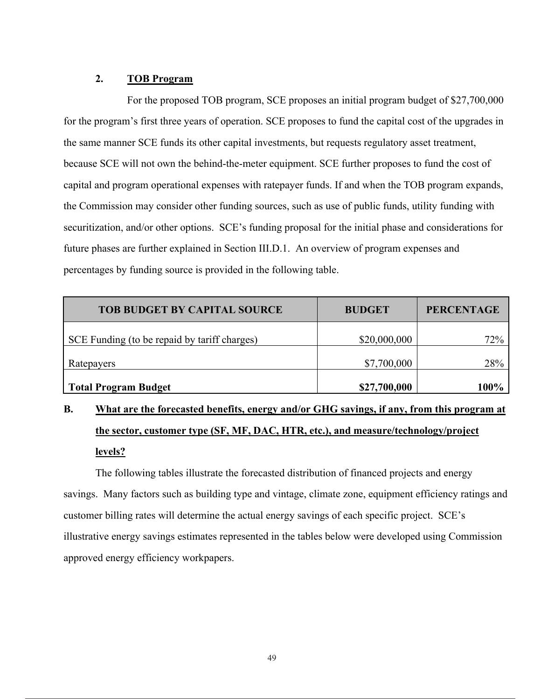## **2. TOB Program**

For the proposed TOB program, SCE proposes an initial program budget of \$27,700,000 for the program's first three years of operation. SCE proposes to fund the capital cost of the upgrades in the same manner SCE funds its other capital investments, but requests regulatory asset treatment, because SCE will not own the behind-the-meter equipment. SCE further proposes to fund the cost of capital and program operational expenses with ratepayer funds. If and when the TOB program expands, the Commission may consider other funding sources, such as use of public funds, utility funding with securitization, and/or other options. SCE's funding proposal for the initial phase and considerations for future phases are further explained in Section III.D.1. An overview of program expenses and percentages by funding source is provided in the following table.

| <b>TOB BUDGET BY CAPITAL SOURCE</b>          | <b>BUDGET</b> | <b>PERCENTAGE</b> |
|----------------------------------------------|---------------|-------------------|
| SCE Funding (to be repaid by tariff charges) | \$20,000,000  | 72%               |
| Ratepayers                                   | \$7,700,000   | 28%               |
| Total Program Budget                         | \$27,700,000  | 100%              |

# **B. What are the forecasted benefits, energy and/or GHG savings, if any, from this program at the sector, customer type (SF, MF, DAC, HTR, etc.), and measure/technology/project levels?**

The following tables illustrate the forecasted distribution of financed projects and energy savings. Many factors such as building type and vintage, climate zone, equipment efficiency ratings and customer billing rates will determine the actual energy savings of each specific project. SCE's illustrative energy savings estimates represented in the tables below were developed using Commission approved energy efficiency workpapers.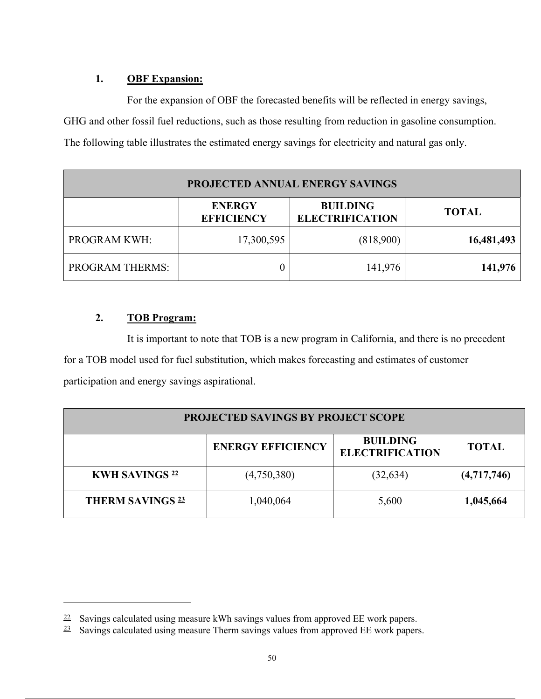## **1. OBF Expansion:**

For the expansion of OBF the forecasted benefits will be reflected in energy savings, GHG and other fossil fuel reductions, such as those resulting from reduction in gasoline consumption. The following table illustrates the estimated energy savings for electricity and natural gas only.

| PROJECTED ANNUAL ENERGY SAVINGS |                                    |                                           |              |  |  |
|---------------------------------|------------------------------------|-------------------------------------------|--------------|--|--|
|                                 | <b>ENERGY</b><br><b>EFFICIENCY</b> | <b>BUILDING</b><br><b>ELECTRIFICATION</b> | <b>TOTAL</b> |  |  |
| PROGRAM KWH:                    | 17,300,595                         | (818,900)                                 | 16,481,493   |  |  |
| <b>PROGRAM THERMS:</b>          |                                    | 141,976                                   | 141,976      |  |  |

## **2. TOB Program:**

It is important to note that TOB is a new program in California, and there is no precedent for a TOB model used for fuel substitution, which makes forecasting and estimates of customer participation and energy savings aspirational.

| <b>PROJECTED SAVINGS BY PROJECT SCOPE</b> |                          |                                           |              |  |
|-------------------------------------------|--------------------------|-------------------------------------------|--------------|--|
|                                           | <b>ENERGY EFFICIENCY</b> | <b>BUILDING</b><br><b>ELECTRIFICATION</b> | <b>TOTAL</b> |  |
| <b>KWH SAVINGS 22</b>                     | (4,750,380)              | (32, 634)                                 | (4,717,746)  |  |
| <b>THERM SAVINGS 23</b>                   | 1,040,064                | 5,600                                     | 1,045,664    |  |

 $22$  Savings calculated using measure kWh savings values from approved EE work papers.

 $23$  Savings calculated using measure Therm savings values from approved EE work papers.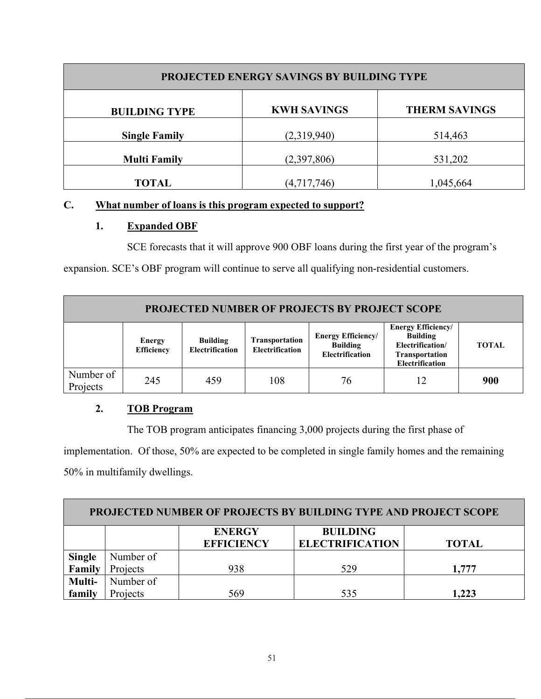| PROJECTED ENERGY SAVINGS BY BUILDING TYPE |                    |                      |  |
|-------------------------------------------|--------------------|----------------------|--|
| <b>BUILDING TYPE</b>                      | <b>KWH SAVINGS</b> | <b>THERM SAVINGS</b> |  |
| <b>Single Family</b>                      | (2,319,940)        | 514,463              |  |
| <b>Multi Family</b>                       | (2,397,806)        | 531,202              |  |
| <b>TOTAL</b>                              | (4,717,746)        | 1,045,664            |  |

## **C. What number of loans is this program expected to support?**

## **1. Expanded OBF**

SCE forecasts that it will approve 900 OBF loans during the first year of the program's

expansion. SCE's OBF program will continue to serve all qualifying non-residential customers.

| <b>PROJECTED NUMBER OF PROJECTS BY PROJECT SCOPE</b> |                             |                                           |                                                 |                                                                        |                                                                                                              |              |
|------------------------------------------------------|-----------------------------|-------------------------------------------|-------------------------------------------------|------------------------------------------------------------------------|--------------------------------------------------------------------------------------------------------------|--------------|
|                                                      | Energy<br><b>Efficiency</b> | <b>Building</b><br><b>Electrification</b> | <b>Transportation</b><br><b>Electrification</b> | <b>Energy Efficiency/</b><br><b>Building</b><br><b>Electrification</b> | <b>Energy Efficiency/</b><br><b>Building</b><br>Electrification/<br><b>Transportation</b><br>Electrification | <b>TOTAL</b> |
| Number of<br>Projects                                | 245                         | 459                                       | 108                                             | 76                                                                     | 12                                                                                                           | 900          |

## **2. TOB Program**

The TOB program anticipates financing 3,000 projects during the first phase of

implementation. Of those, 50% are expected to be completed in single family homes and the remaining 50% in multifamily dwellings.

| <b>PROJECTED NUMBER OF PROJECTS BY BUILDING TYPE AND PROJECT SCOPE</b> |           |                                    |                                           |              |
|------------------------------------------------------------------------|-----------|------------------------------------|-------------------------------------------|--------------|
|                                                                        |           | <b>ENERGY</b><br><b>EFFICIENCY</b> | <b>BUILDING</b><br><b>ELECTRIFICATION</b> | <b>TOTAL</b> |
|                                                                        | Number of |                                    |                                           |              |
| <b>Single<br/>Family</b>                                               | Projects  | 938                                | 529                                       | 1,777        |
| Multi-                                                                 | Number of |                                    |                                           |              |
| family                                                                 | Projects  | 569                                | 535                                       | 1,223        |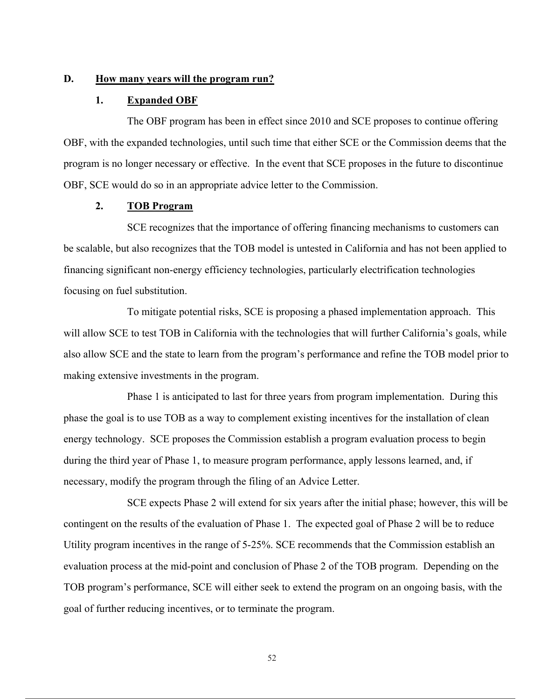### **D. How many years will the program run?**

#### **1. Expanded OBF**

The OBF program has been in effect since 2010 and SCE proposes to continue offering OBF, with the expanded technologies, until such time that either SCE or the Commission deems that the program is no longer necessary or effective. In the event that SCE proposes in the future to discontinue OBF, SCE would do so in an appropriate advice letter to the Commission.

### **2. TOB Program**

SCE recognizes that the importance of offering financing mechanisms to customers can be scalable, but also recognizes that the TOB model is untested in California and has not been applied to financing significant non-energy efficiency technologies, particularly electrification technologies focusing on fuel substitution.

To mitigate potential risks, SCE is proposing a phased implementation approach. This will allow SCE to test TOB in California with the technologies that will further California's goals, while also allow SCE and the state to learn from the program's performance and refine the TOB model prior to making extensive investments in the program.

Phase 1 is anticipated to last for three years from program implementation. During this phase the goal is to use TOB as a way to complement existing incentives for the installation of clean energy technology. SCE proposes the Commission establish a program evaluation process to begin during the third year of Phase 1, to measure program performance, apply lessons learned, and, if necessary, modify the program through the filing of an Advice Letter.

SCE expects Phase 2 will extend for six years after the initial phase; however, this will be contingent on the results of the evaluation of Phase 1. The expected goal of Phase 2 will be to reduce Utility program incentives in the range of 5-25%. SCE recommends that the Commission establish an evaluation process at the mid-point and conclusion of Phase 2 of the TOB program. Depending on the TOB program's performance, SCE will either seek to extend the program on an ongoing basis, with the goal of further reducing incentives, or to terminate the program.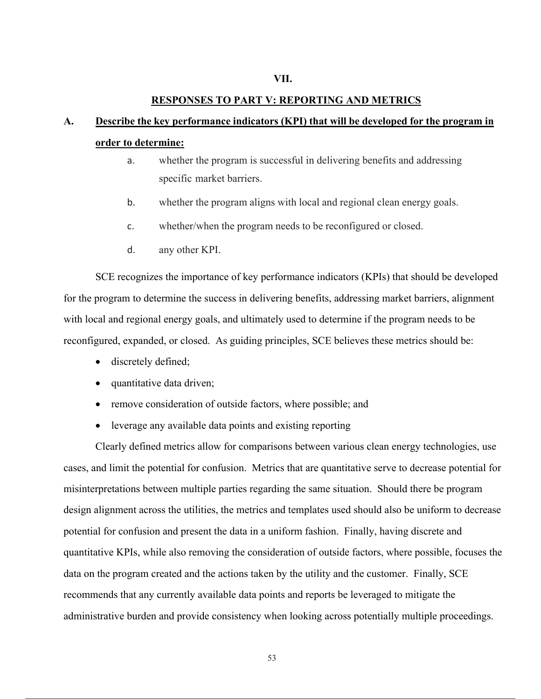#### **RESPONSES TO PART V: REPORTING AND METRICS**

## **A. Describe the key performance indicators (KPI) that will be developed for the program in order to determine:**

- a. whether the program is successful in delivering benefits and addressing specific market barriers.
- b. whether the program aligns with local and regional clean energy goals.
- c. whether/when the program needs to be reconfigured or closed.
- d. any other KPI.

SCE recognizes the importance of key performance indicators (KPIs) that should be developed for the program to determine the success in delivering benefits, addressing market barriers, alignment with local and regional energy goals, and ultimately used to determine if the program needs to be reconfigured, expanded, or closed. As guiding principles, SCE believes these metrics should be:

- discretely defined;
- quantitative data driven;
- remove consideration of outside factors, where possible; and
- leverage any available data points and existing reporting

Clearly defined metrics allow for comparisons between various clean energy technologies, use cases, and limit the potential for confusion. Metrics that are quantitative serve to decrease potential for misinterpretations between multiple parties regarding the same situation. Should there be program design alignment across the utilities, the metrics and templates used should also be uniform to decrease potential for confusion and present the data in a uniform fashion. Finally, having discrete and quantitative KPIs, while also removing the consideration of outside factors, where possible, focuses the data on the program created and the actions taken by the utility and the customer. Finally, SCE recommends that any currently available data points and reports be leveraged to mitigate the administrative burden and provide consistency when looking across potentially multiple proceedings.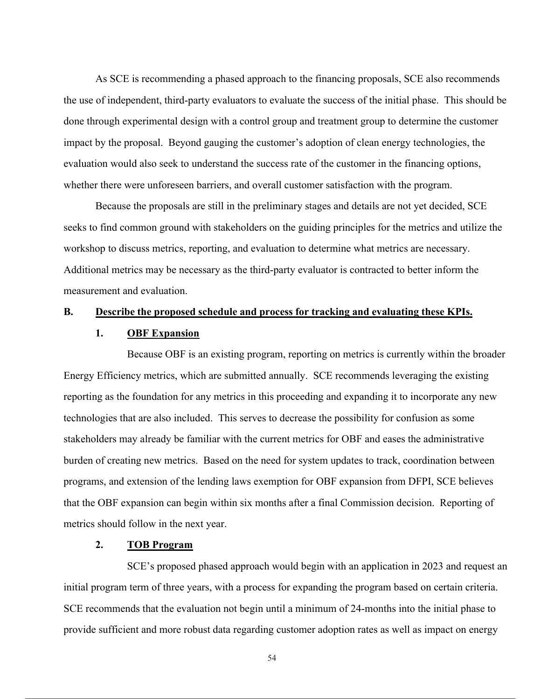As SCE is recommending a phased approach to the financing proposals, SCE also recommends the use of independent, third-party evaluators to evaluate the success of the initial phase. This should be done through experimental design with a control group and treatment group to determine the customer impact by the proposal. Beyond gauging the customer's adoption of clean energy technologies, the evaluation would also seek to understand the success rate of the customer in the financing options, whether there were unforeseen barriers, and overall customer satisfaction with the program.

Because the proposals are still in the preliminary stages and details are not yet decided, SCE seeks to find common ground with stakeholders on the guiding principles for the metrics and utilize the workshop to discuss metrics, reporting, and evaluation to determine what metrics are necessary. Additional metrics may be necessary as the third-party evaluator is contracted to better inform the measurement and evaluation.

#### **B. Describe the proposed schedule and process for tracking and evaluating these KPIs.**

#### **1. OBF Expansion**

Because OBF is an existing program, reporting on metrics is currently within the broader Energy Efficiency metrics, which are submitted annually. SCE recommends leveraging the existing reporting as the foundation for any metrics in this proceeding and expanding it to incorporate any new technologies that are also included. This serves to decrease the possibility for confusion as some stakeholders may already be familiar with the current metrics for OBF and eases the administrative burden of creating new metrics. Based on the need for system updates to track, coordination between programs, and extension of the lending laws exemption for OBF expansion from DFPI, SCE believes that the OBF expansion can begin within six months after a final Commission decision. Reporting of metrics should follow in the next year.

### **2. TOB Program**

SCE's proposed phased approach would begin with an application in 2023 and request an initial program term of three years, with a process for expanding the program based on certain criteria. SCE recommends that the evaluation not begin until a minimum of 24-months into the initial phase to provide sufficient and more robust data regarding customer adoption rates as well as impact on energy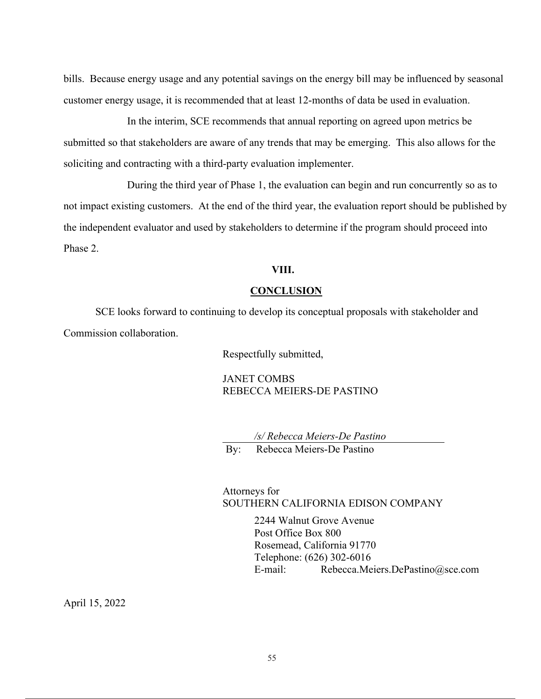bills. Because energy usage and any potential savings on the energy bill may be influenced by seasonal customer energy usage, it is recommended that at least 12-months of data be used in evaluation.

In the interim, SCE recommends that annual reporting on agreed upon metrics be submitted so that stakeholders are aware of any trends that may be emerging. This also allows for the soliciting and contracting with a third-party evaluation implementer.

During the third year of Phase 1, the evaluation can begin and run concurrently so as to not impact existing customers. At the end of the third year, the evaluation report should be published by the independent evaluator and used by stakeholders to determine if the program should proceed into Phase 2.

### **VIII.**

### **CONCLUSION**

SCE looks forward to continuing to develop its conceptual proposals with stakeholder and Commission collaboration.

Respectfully submitted,

JANET COMBS REBECCA MEIERS-DE PASTINO

*/s/ Rebecca Meiers-De Pastino*  By: Rebecca Meiers-De Pastino

### Attorneys for SOUTHERN CALIFORNIA EDISON COMPANY

2244 Walnut Grove Avenue Post Office Box 800 Rosemead, California 91770 Telephone: (626) 302-6016 E-mail: Rebecca.Meiers.DePastino@sce.com

April 15, 2022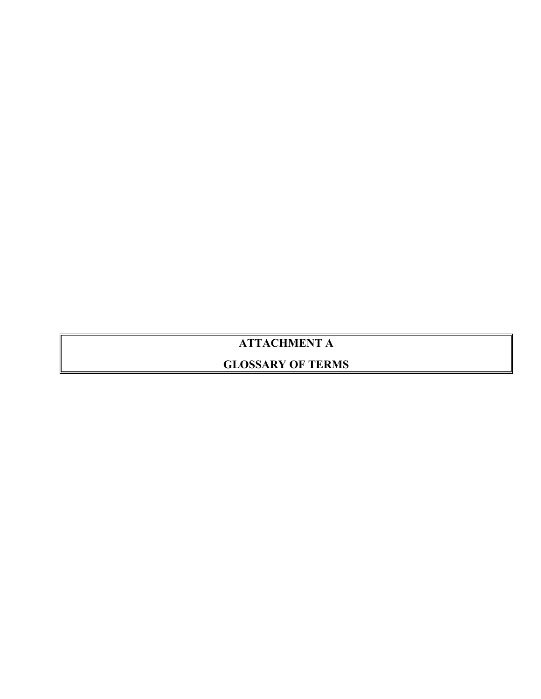## **ATTACHMENT A**

## **GLOSSARY OF TERMS**